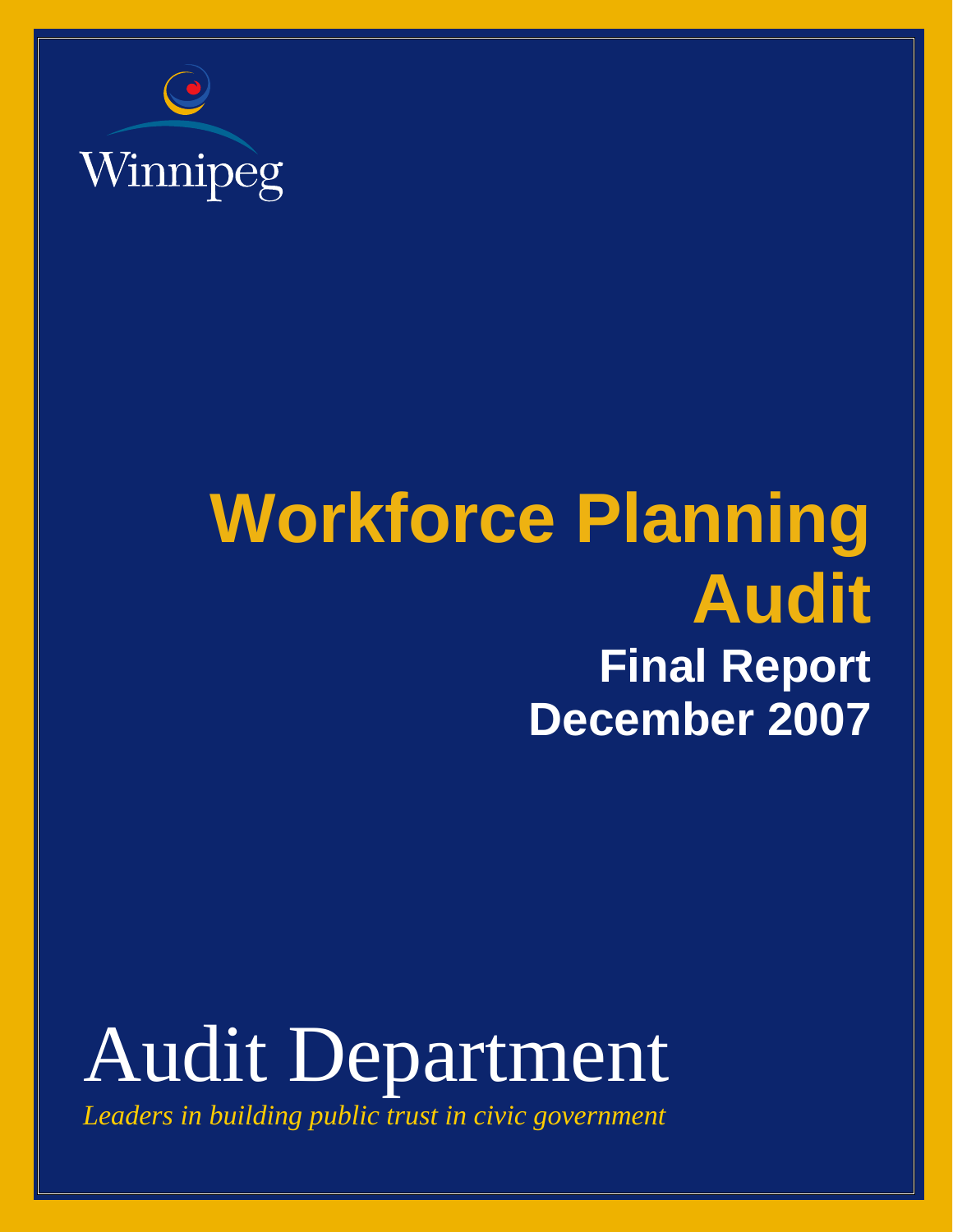

# **Workforce Planning Audit Final Report December 2007**

# Audit Department

*Leaders in building public trust in civic government*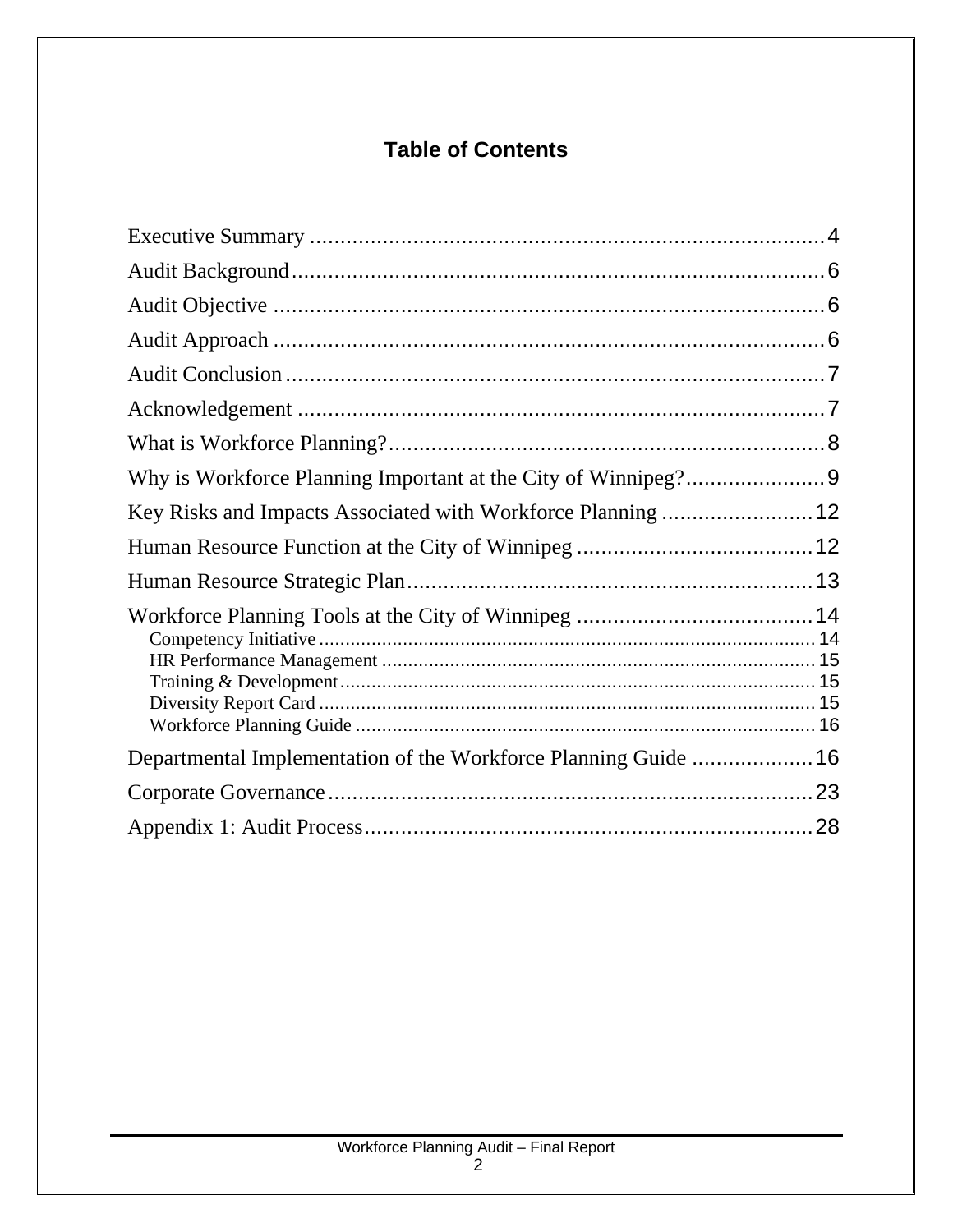## **Table of Contents**

| Key Risks and Impacts Associated with Workforce Planning  12    |  |
|-----------------------------------------------------------------|--|
|                                                                 |  |
|                                                                 |  |
|                                                                 |  |
| Departmental Implementation of the Workforce Planning Guide  16 |  |
|                                                                 |  |
|                                                                 |  |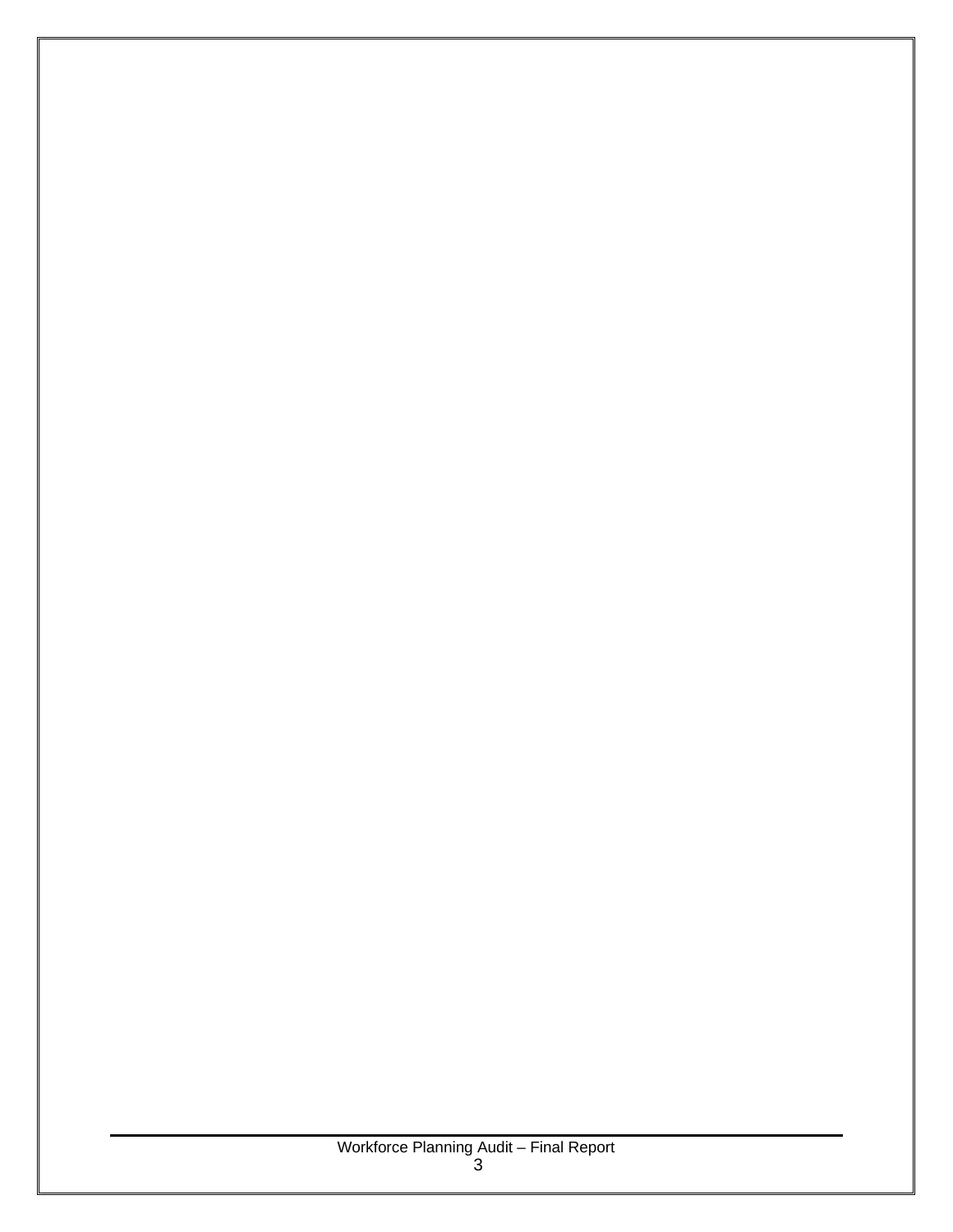## Workforce Planning Audit – Final Report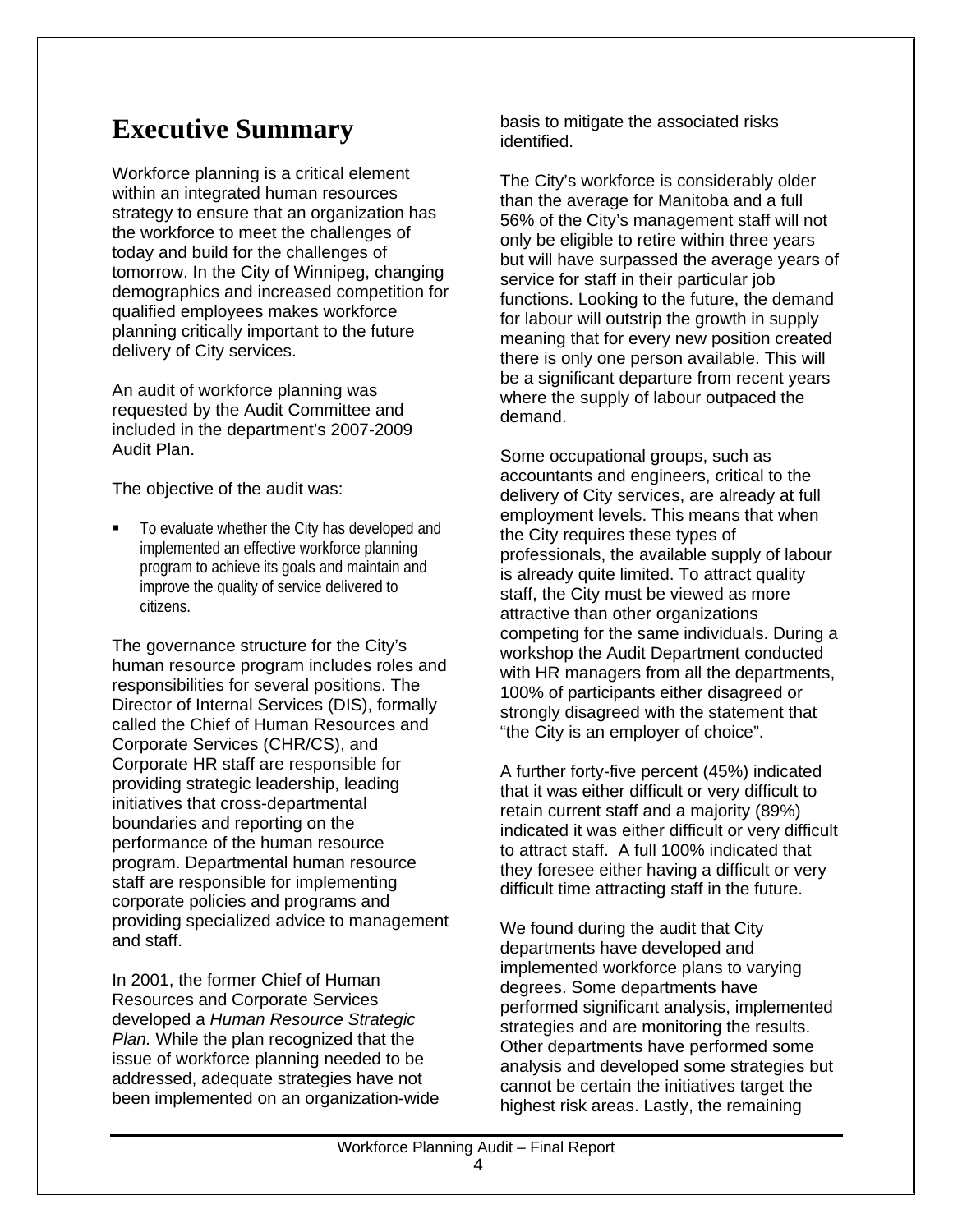# **Executive Summary**

Workforce planning is a critical element within an integrated human resources strategy to ensure that an organization has the workforce to meet the challenges of today and build for the challenges of tomorrow. In the City of Winnipeg, changing demographics and increased competition for qualified employees makes workforce planning critically important to the future delivery of City services.

An audit of workforce planning was requested by the Audit Committee and included in the department's 2007-2009 Audit Plan.

The objective of the audit was:

 To evaluate whether the City has developed and implemented an effective workforce planning program to achieve its goals and maintain and improve the quality of service delivered to citizens.

The governance structure for the City's human resource program includes roles and responsibilities for several positions. The Director of Internal Services (DIS), formally called the Chief of Human Resources and Corporate Services (CHR/CS), and Corporate HR staff are responsible for providing strategic leadership, leading initiatives that cross-departmental boundaries and reporting on the performance of the human resource program. Departmental human resource staff are responsible for implementing corporate policies and programs and providing specialized advice to management and staff.

In 2001, the former Chief of Human Resources and Corporate Services developed a *Human Resource Strategic Plan.* While the plan recognized that the issue of workforce planning needed to be addressed, adequate strategies have not been implemented on an organization-wide basis to mitigate the associated risks identified.

The City's workforce is considerably older than the average for Manitoba and a full 56% of the City's management staff will not only be eligible to retire within three years but will have surpassed the average years of service for staff in their particular job functions. Looking to the future, the demand for labour will outstrip the growth in supply meaning that for every new position created there is only one person available. This will be a significant departure from recent years where the supply of labour outpaced the demand.

Some occupational groups, such as accountants and engineers, critical to the delivery of City services, are already at full employment levels. This means that when the City requires these types of professionals, the available supply of labour is already quite limited. To attract quality staff, the City must be viewed as more attractive than other organizations competing for the same individuals. During a workshop the Audit Department conducted with HR managers from all the departments, 100% of participants either disagreed or strongly disagreed with the statement that "the City is an employer of choice".

A further forty-five percent (45%) indicated that it was either difficult or very difficult to retain current staff and a majority (89%) indicated it was either difficult or very difficult to attract staff. A full 100% indicated that they foresee either having a difficult or very difficult time attracting staff in the future.

We found during the audit that City departments have developed and implemented workforce plans to varying degrees. Some departments have performed significant analysis, implemented strategies and are monitoring the results. Other departments have performed some analysis and developed some strategies but cannot be certain the initiatives target the highest risk areas. Lastly, the remaining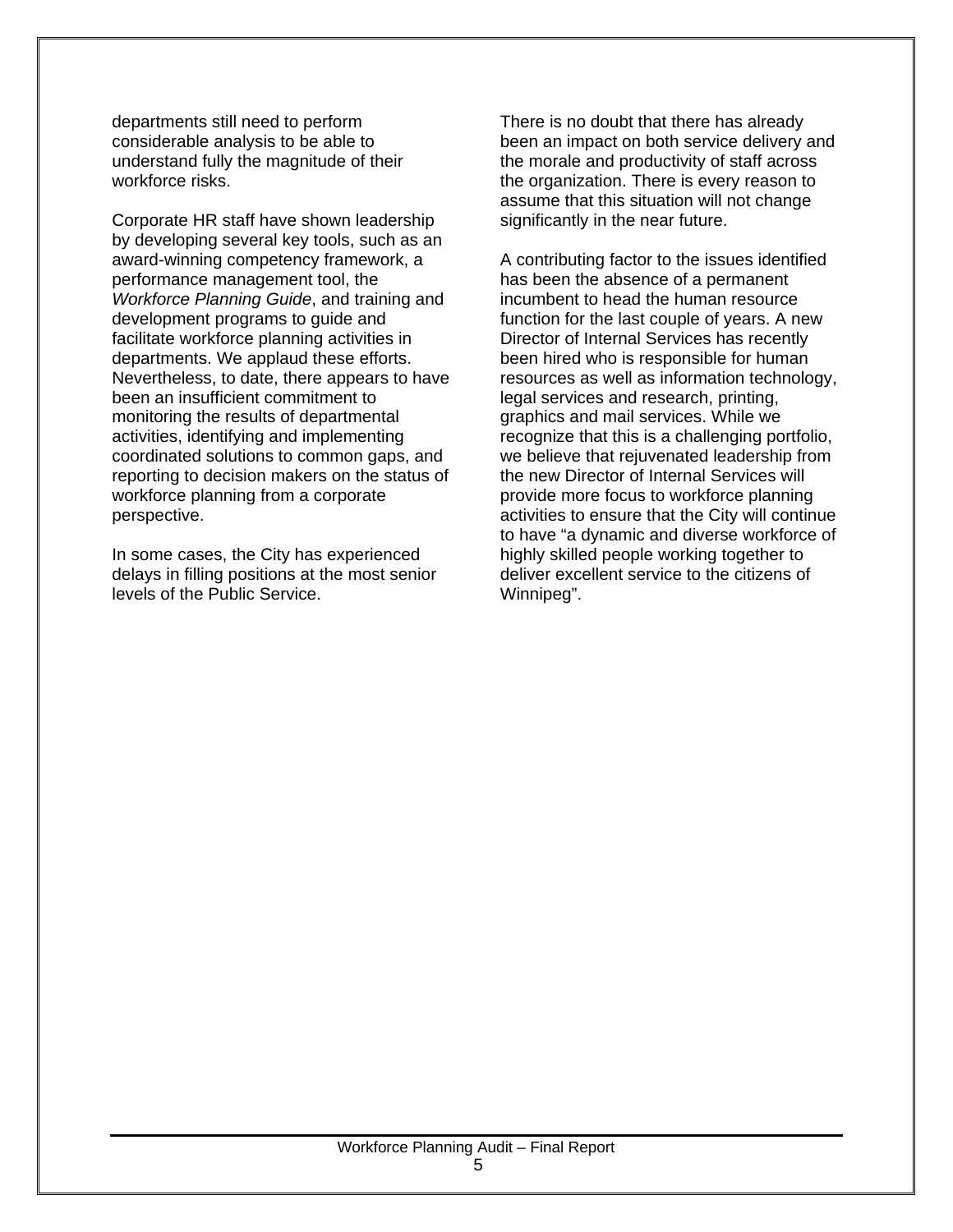departments still need to perform considerable analysis to be able to understand fully the magnitude of their workforce risks.

Corporate HR staff have shown leadership by developing several key tools, such as an award-winning competency framework, a performance management tool, the *Workforce Planning Guide*, and training and development programs to guide and facilitate workforce planning activities in departments. We applaud these efforts. Nevertheless, to date, there appears to have been an insufficient commitment to monitoring the results of departmental activities, identifying and implementing coordinated solutions to common gaps, and reporting to decision makers on the status of workforce planning from a corporate perspective.

In some cases, the City has experienced delays in filling positions at the most senior levels of the Public Service.

There is no doubt that there has already been an impact on both service delivery and the morale and productivity of staff across the organization. There is every reason to assume that this situation will not change significantly in the near future.

A contributing factor to the issues identified has been the absence of a permanent incumbent to head the human resource function for the last couple of years. A new Director of Internal Services has recently been hired who is responsible for human resources as well as information technology, legal services and research, printing, graphics and mail services. While we recognize that this is a challenging portfolio, we believe that rejuvenated leadership from the new Director of Internal Services will provide more focus to workforce planning activities to ensure that the City will continue to have "a dynamic and diverse workforce of highly skilled people working together to deliver excellent service to the citizens of Winnipeg".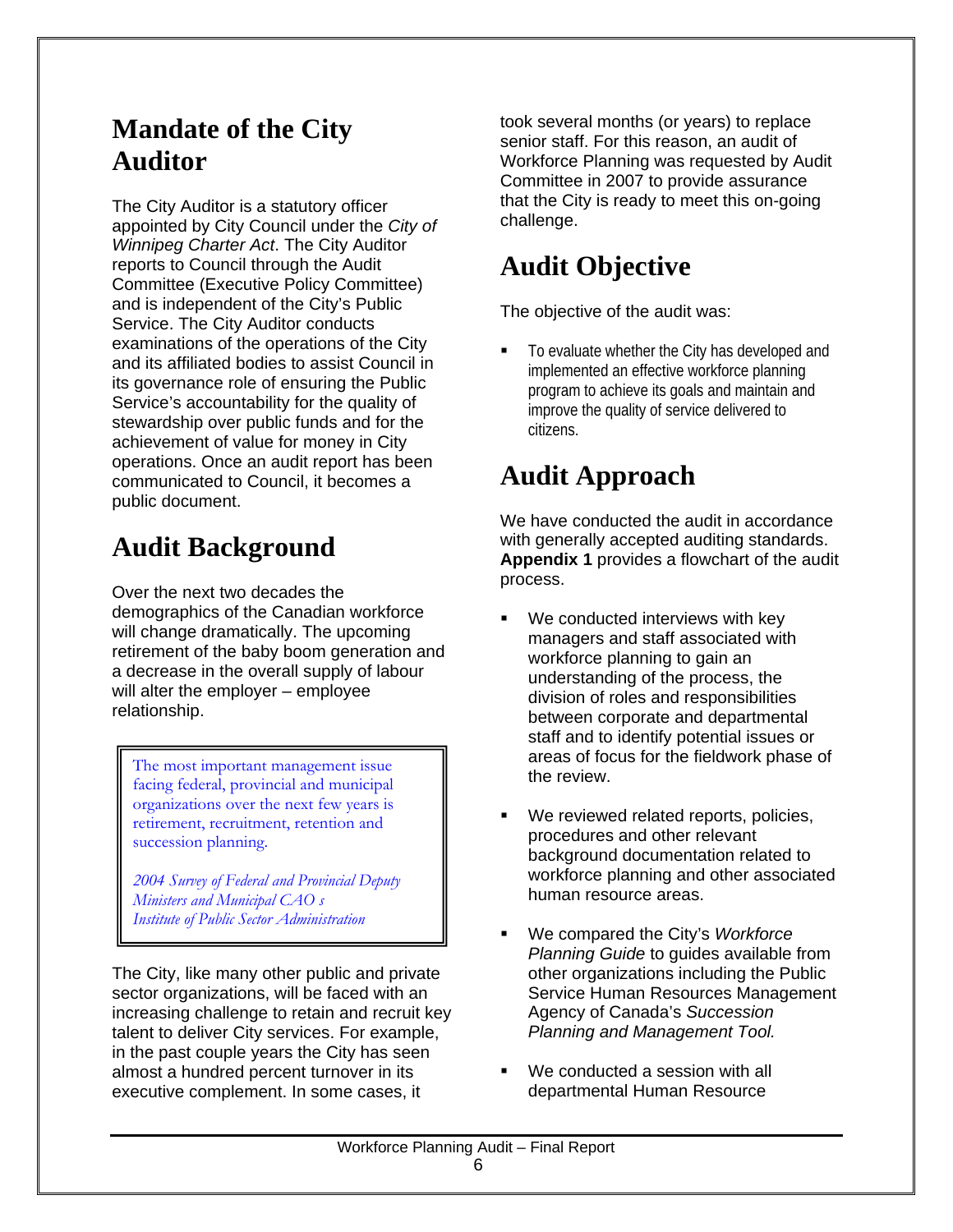# **Mandate of the City Auditor**

The City Auditor is a statutory officer appointed by City Council under the *City of Winnipeg Charter Act*. The City Auditor reports to Council through the Audit Committee (Executive Policy Committee) and is independent of the City's Public Service. The City Auditor conducts examinations of the operations of the City and its affiliated bodies to assist Council in its governance role of ensuring the Public Service's accountability for the quality of stewardship over public funds and for the achievement of value for money in City operations. Once an audit report has been communicated to Council, it becomes a public document.

# **Audit Background**

Over the next two decades the demographics of the Canadian workforce will change dramatically. The upcoming retirement of the baby boom generation and a decrease in the overall supply of labour will alter the employer – employee relationship.

The most important management issue facing federal, provincial and municipal organizations over the next few years is retirement, recruitment, retention and succession planning.

*2004 Survey of Federal and Provincial Deputy Ministers and Municipal CAO s Institute of Public Sector Administration* 

The City, like many other public and private sector organizations, will be faced with an increasing challenge to retain and recruit key talent to deliver City services. For example, in the past couple years the City has seen almost a hundred percent turnover in its executive complement. In some cases, it

took several months (or years) to replace senior staff. For this reason, an audit of Workforce Planning was requested by Audit Committee in 2007 to provide assurance that the City is ready to meet this on-going challenge.

# **Audit Objective**

The objective of the audit was:

 To evaluate whether the City has developed and implemented an effective workforce planning program to achieve its goals and maintain and improve the quality of service delivered to citizens.

# **Audit Approach**

We have conducted the audit in accordance with generally accepted auditing standards. **Appendix 1** provides a flowchart of the audit process.

- **We conducted interviews with key** managers and staff associated with workforce planning to gain an understanding of the process, the division of roles and responsibilities between corporate and departmental staff and to identify potential issues or areas of focus for the fieldwork phase of the review.
- **We reviewed related reports, policies,** procedures and other relevant background documentation related to workforce planning and other associated human resource areas.
- We compared the City's *Workforce Planning Guide* to guides available from other organizations including the Public Service Human Resources Management Agency of Canada's *Succession Planning and Management Tool.*
- We conducted a session with all departmental Human Resource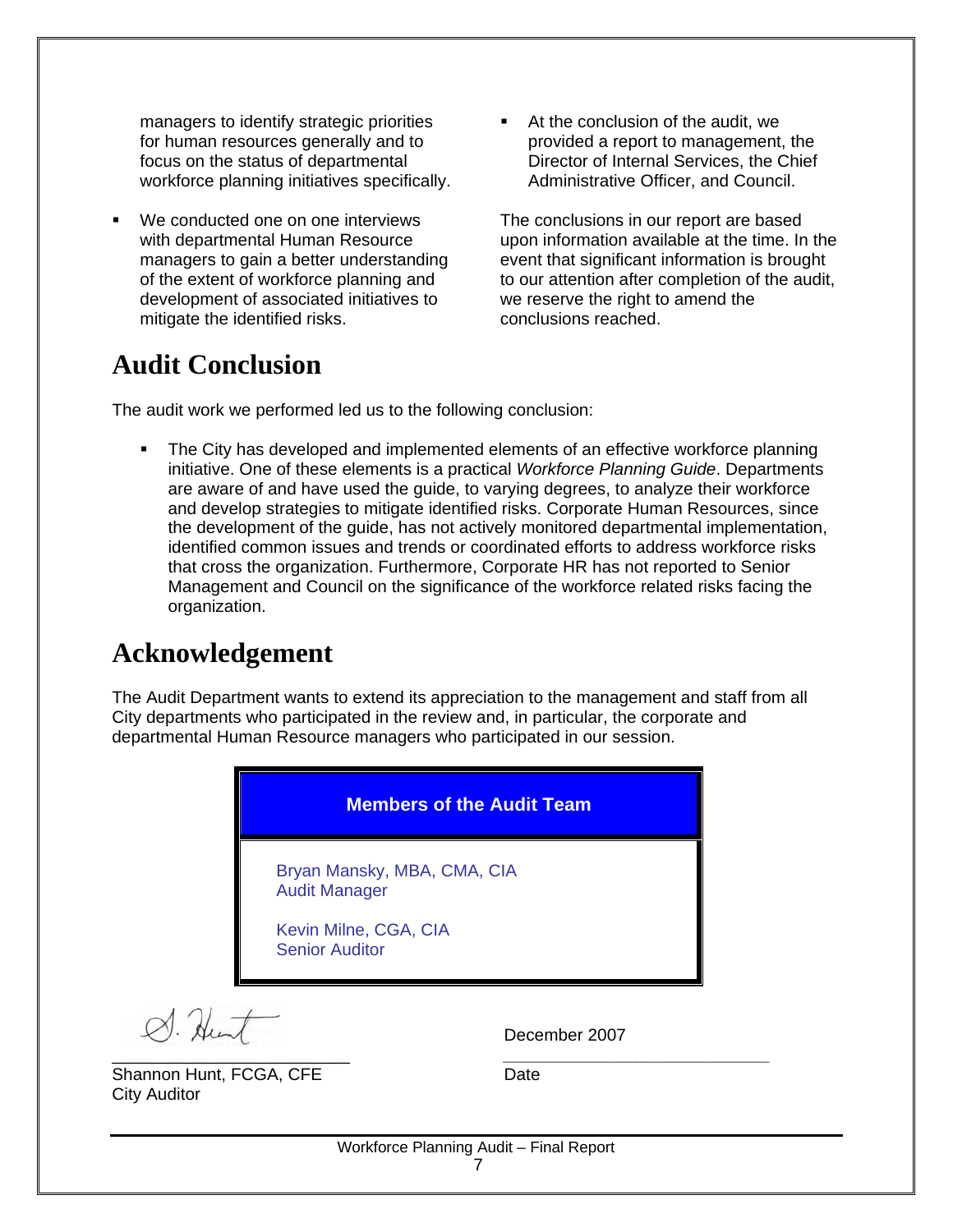managers to identify strategic priorities for human resources generally and to focus on the status of departmental workforce planning initiatives specifically.

- We conducted one on one interviews with departmental Human Resource managers to gain a better understanding of the extent of workforce planning and development of associated initiatives to mitigate the identified risks.
- At the conclusion of the audit, we provided a report to management, the Director of Internal Services, the Chief Administrative Officer, and Council.

The conclusions in our report are based upon information available at the time. In the event that significant information is brought to our attention after completion of the audit, we reserve the right to amend the conclusions reached.

# **Audit Conclusion**

The audit work we performed led us to the following conclusion:

 The City has developed and implemented elements of an effective workforce planning initiative. One of these elements is a practical *Workforce Planning Guide*. Departments are aware of and have used the guide, to varying degrees, to analyze their workforce and develop strategies to mitigate identified risks. Corporate Human Resources, since the development of the guide, has not actively monitored departmental implementation, identified common issues and trends or coordinated efforts to address workforce risks that cross the organization. Furthermore, Corporate HR has not reported to Senior Management and Council on the significance of the workforce related risks facing the organization.

# **Acknowledgement**

The Audit Department wants to extend its appreciation to the management and staff from all City departments who participated in the review and, in particular, the corporate and departmental Human Resource managers who participated in our session.



\_\_\_\_\_\_\_\_\_\_\_\_\_\_\_\_\_\_\_\_\_\_\_\_\_ *\_\_\_\_\_\_\_\_\_\_\_\_\_\_\_\_\_\_\_\_\_\_\_\_\_\_\_\_*

Shannon Hunt, FCGA, CFE Date City Auditor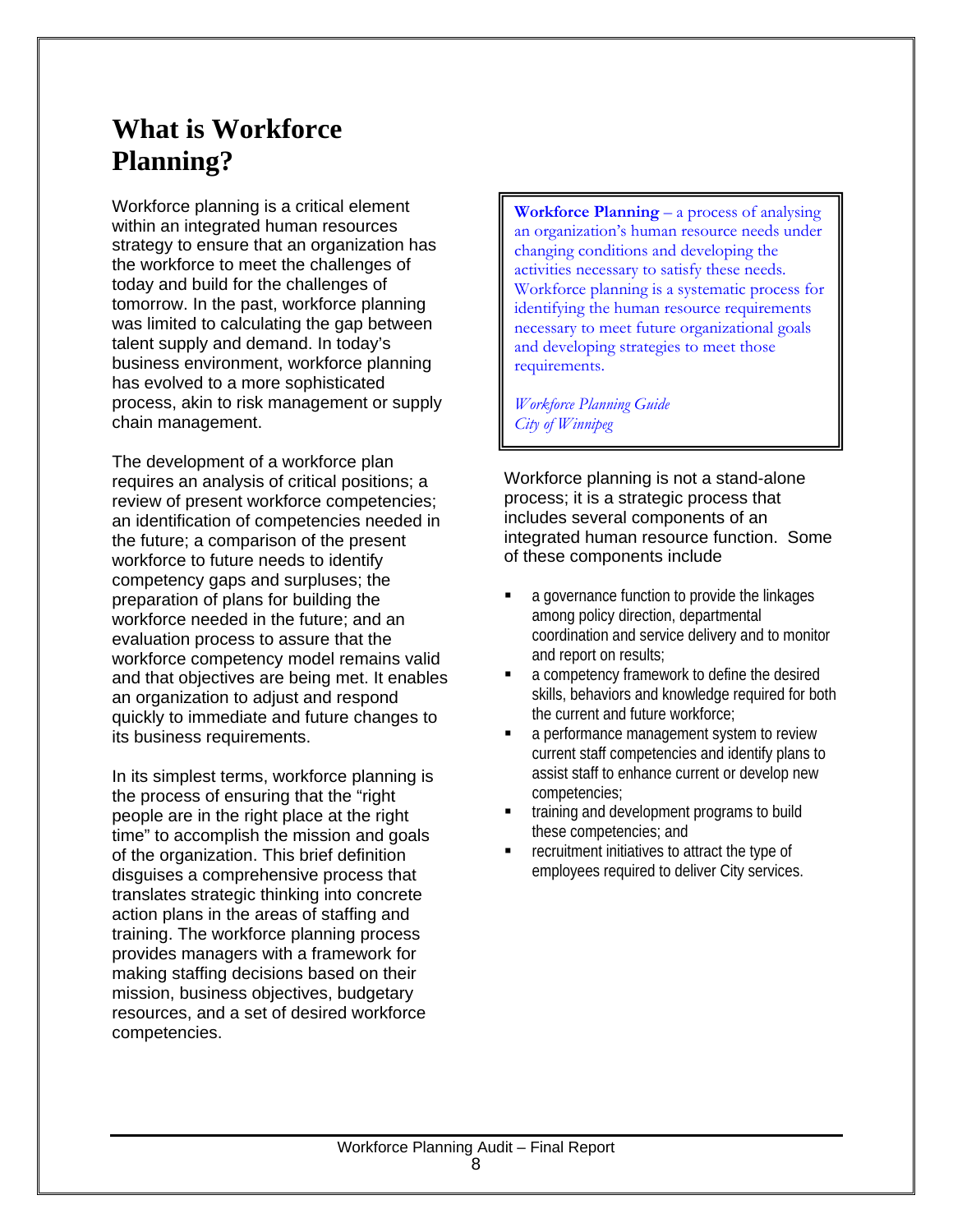# **What is Workforce Planning?**

Workforce planning is a critical element within an integrated human resources strategy to ensure that an organization has the workforce to meet the challenges of today and build for the challenges of tomorrow. In the past, workforce planning was limited to calculating the gap between talent supply and demand. In today's business environment, workforce planning has evolved to a more sophisticated process, akin to risk management or supply chain management.

The development of a workforce plan requires an analysis of critical positions; a review of present workforce competencies; an identification of competencies needed in the future; a comparison of the present workforce to future needs to identify competency gaps and surpluses; the preparation of plans for building the workforce needed in the future; and an evaluation process to assure that the workforce competency model remains valid and that objectives are being met. It enables an organization to adjust and respond quickly to immediate and future changes to its business requirements.

In its simplest terms, workforce planning is the process of ensuring that the "right people are in the right place at the right time" to accomplish the mission and goals of the organization. This brief definition disguises a comprehensive process that translates strategic thinking into concrete action plans in the areas of staffing and training. The workforce planning process provides managers with a framework for making staffing decisions based on their mission, business objectives, budgetary resources, and a set of desired workforce competencies.

**Workforce Planning** – a process of analysing an organization's human resource needs under changing conditions and developing the activities necessary to satisfy these needs. Workforce planning is a systematic process for identifying the human resource requirements necessary to meet future organizational goals and developing strategies to meet those requirements.

*Workforce Planning Guide City of Winnipeg* 

Workforce planning is not a stand-alone process; it is a strategic process that includes several components of an integrated human resource function. Some of these components include

- **a** a governance function to provide the linkages among policy direction, departmental coordination and service delivery and to monitor and report on results;
- a competency framework to define the desired skills, behaviors and knowledge required for both the current and future workforce;
- a performance management system to review current staff competencies and identify plans to assist staff to enhance current or develop new competencies;
- **training and development programs to build** these competencies; and
- recruitment initiatives to attract the type of employees required to deliver City services.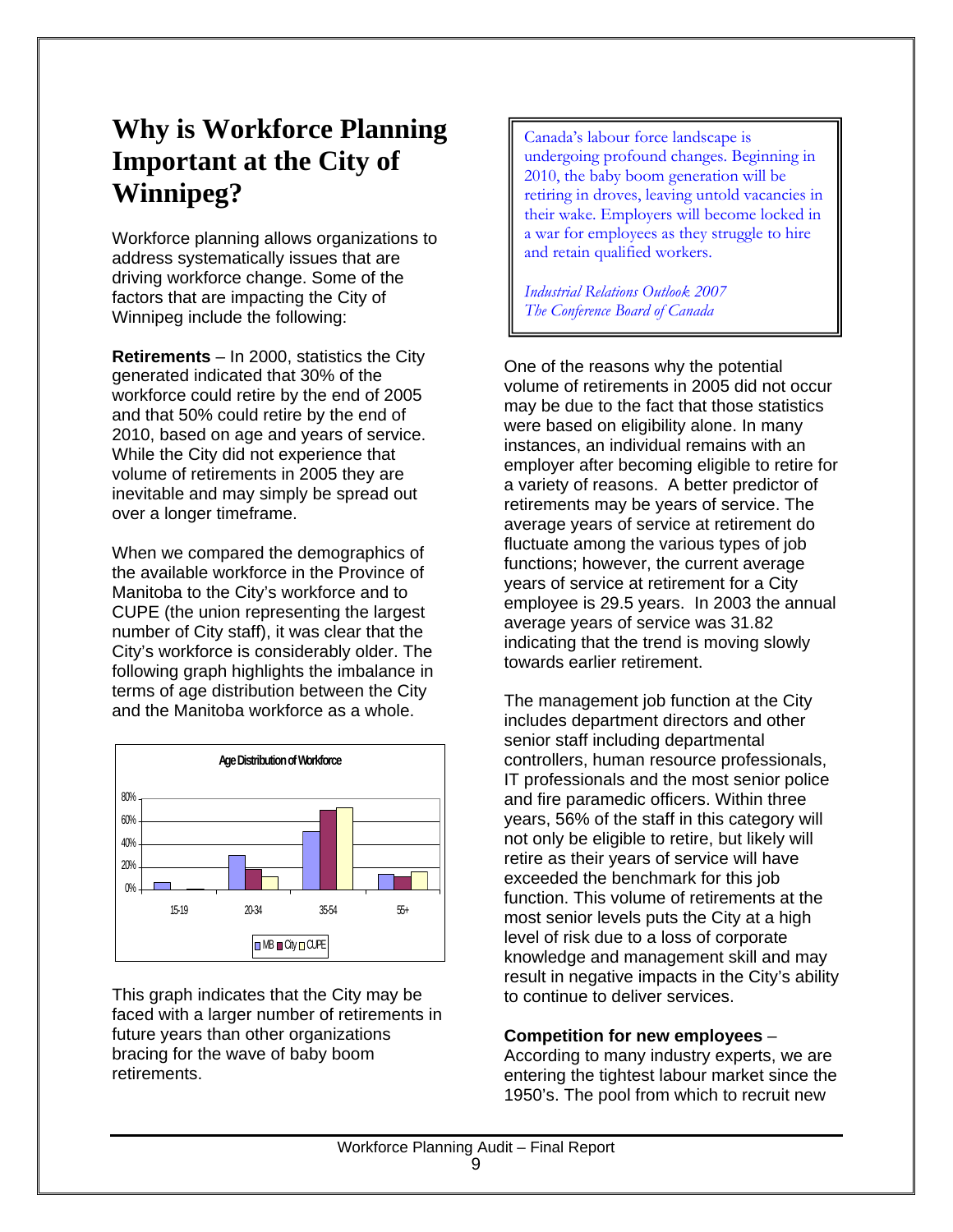# **Why is Workforce Planning Important at the City of Winnipeg?**

Workforce planning allows organizations to address systematically issues that are driving workforce change. Some of the factors that are impacting the City of Winnipeg include the following:

**Retirements** – In 2000, statistics the City generated indicated that 30% of the workforce could retire by the end of 2005 and that 50% could retire by the end of 2010, based on age and years of service. While the City did not experience that volume of retirements in 2005 they are inevitable and may simply be spread out over a longer timeframe.

When we compared the demographics of the available workforce in the Province of Manitoba to the City's workforce and to CUPE (the union representing the largest number of City staff), it was clear that the City's workforce is considerably older. The following graph highlights the imbalance in terms of age distribution between the City and the Manitoba workforce as a whole.



This graph indicates that the City may be faced with a larger number of retirements in future years than other organizations bracing for the wave of baby boom retirements.

Canada's labour force landscape is undergoing profound changes. Beginning in 2010, the baby boom generation will be retiring in droves, leaving untold vacancies in their wake. Employers will become locked in a war for employees as they struggle to hire and retain qualified workers.

*Industrial Relations Outlook 2007 The Conference Board of Canada* 

One of the reasons why the potential volume of retirements in 2005 did not occur may be due to the fact that those statistics were based on eligibility alone. In many instances, an individual remains with an employer after becoming eligible to retire for a variety of reasons. A better predictor of retirements may be years of service. The average years of service at retirement do fluctuate among the various types of job functions; however, the current average years of service at retirement for a City employee is 29.5 years. In 2003 the annual average years of service was 31.82 indicating that the trend is moving slowly towards earlier retirement.

The management job function at the City includes department directors and other senior staff including departmental controllers, human resource professionals, IT professionals and the most senior police and fire paramedic officers. Within three years, 56% of the staff in this category will not only be eligible to retire, but likely will retire as their years of service will have exceeded the benchmark for this job function. This volume of retirements at the most senior levels puts the City at a high level of risk due to a loss of corporate knowledge and management skill and may result in negative impacts in the City's ability to continue to deliver services.

## **Competition for new employees** –

According to many industry experts, we are entering the tightest labour market since the 1950's. The pool from which to recruit new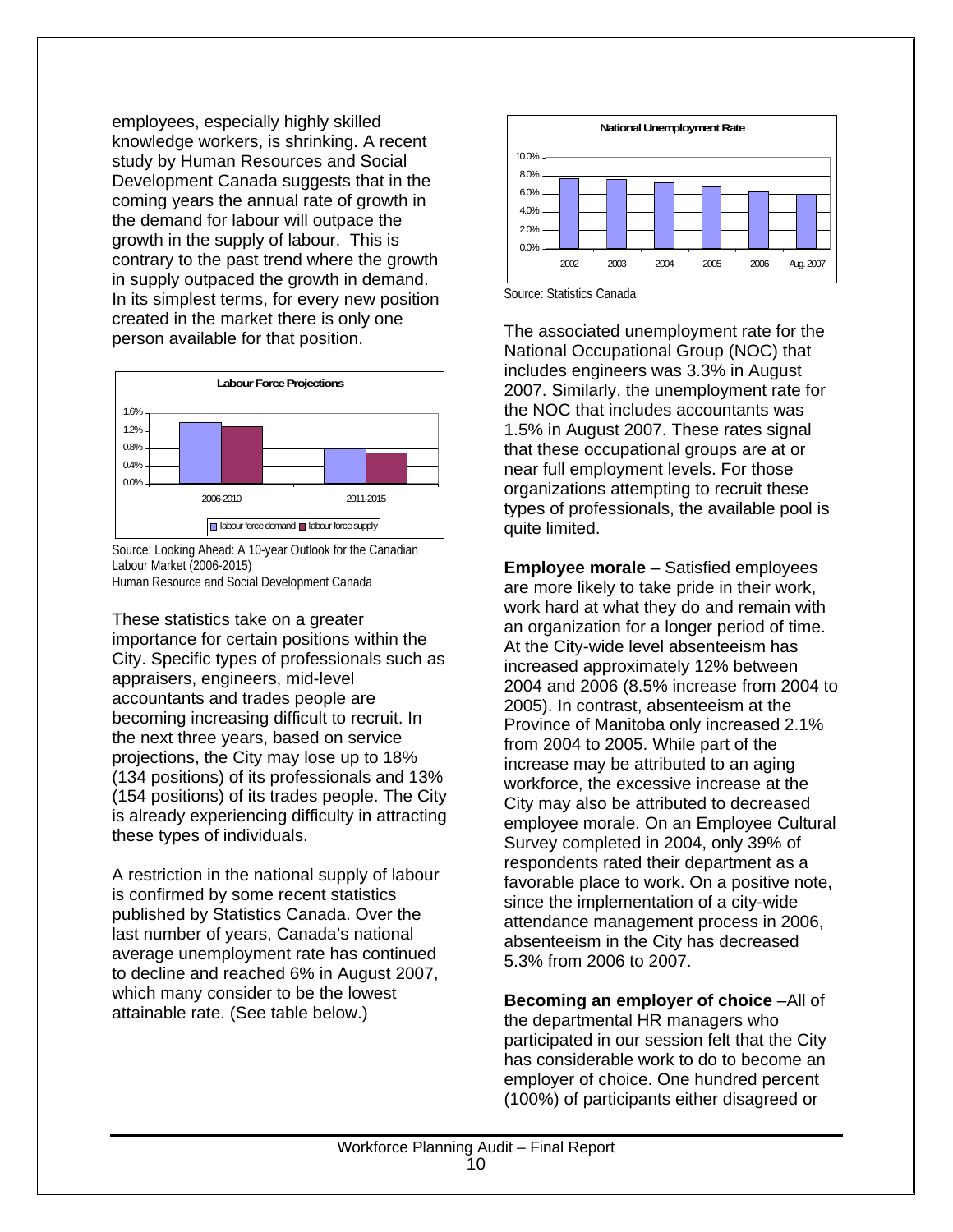employees, especially highly skilled knowledge workers, is shrinking. A recent study by Human Resources and Social Development Canada suggests that in the coming years the annual rate of growth in the demand for labour will outpace the growth in the supply of labour. This is contrary to the past trend where the growth in supply outpaced the growth in demand. In its simplest terms, for every new position created in the market there is only one person available for that position.



Source: Looking Ahead: A 10-year Outlook for the Canadian Labour Market (2006-2015) Human Resource and Social Development Canada

These statistics take on a greater importance for certain positions within the City. Specific types of professionals such as appraisers, engineers, mid-level accountants and trades people are becoming increasing difficult to recruit. In the next three years, based on service projections, the City may lose up to 18% (134 positions) of its professionals and 13% (154 positions) of its trades people. The City is already experiencing difficulty in attracting these types of individuals.

A restriction in the national supply of labour is confirmed by some recent statistics published by Statistics Canada. Over the last number of years, Canada's national average unemployment rate has continued to decline and reached 6% in August 2007, which many consider to be the lowest attainable rate. (See table below.)



Source: Statistics Canada

The associated unemployment rate for the National Occupational Group (NOC) that includes engineers was 3.3% in August 2007. Similarly, the unemployment rate for the NOC that includes accountants was 1.5% in August 2007. These rates signal that these occupational groups are at or near full employment levels. For those organizations attempting to recruit these types of professionals, the available pool is quite limited.

**Employee morale** – Satisfied employees are more likely to take pride in their work, work hard at what they do and remain with an organization for a longer period of time. At the City-wide level absenteeism has increased approximately 12% between 2004 and 2006 (8.5% increase from 2004 to 2005). In contrast, absenteeism at the Province of Manitoba only increased 2.1% from 2004 to 2005. While part of the increase may be attributed to an aging workforce, the excessive increase at the City may also be attributed to decreased employee morale. On an Employee Cultural Survey completed in 2004, only 39% of respondents rated their department as a favorable place to work. On a positive note, since the implementation of a city-wide attendance management process in 2006, absenteeism in the City has decreased 5.3% from 2006 to 2007.

**Becoming an employer of choice** –All of the departmental HR managers who participated in our session felt that the City has considerable work to do to become an employer of choice. One hundred percent (100%) of participants either disagreed or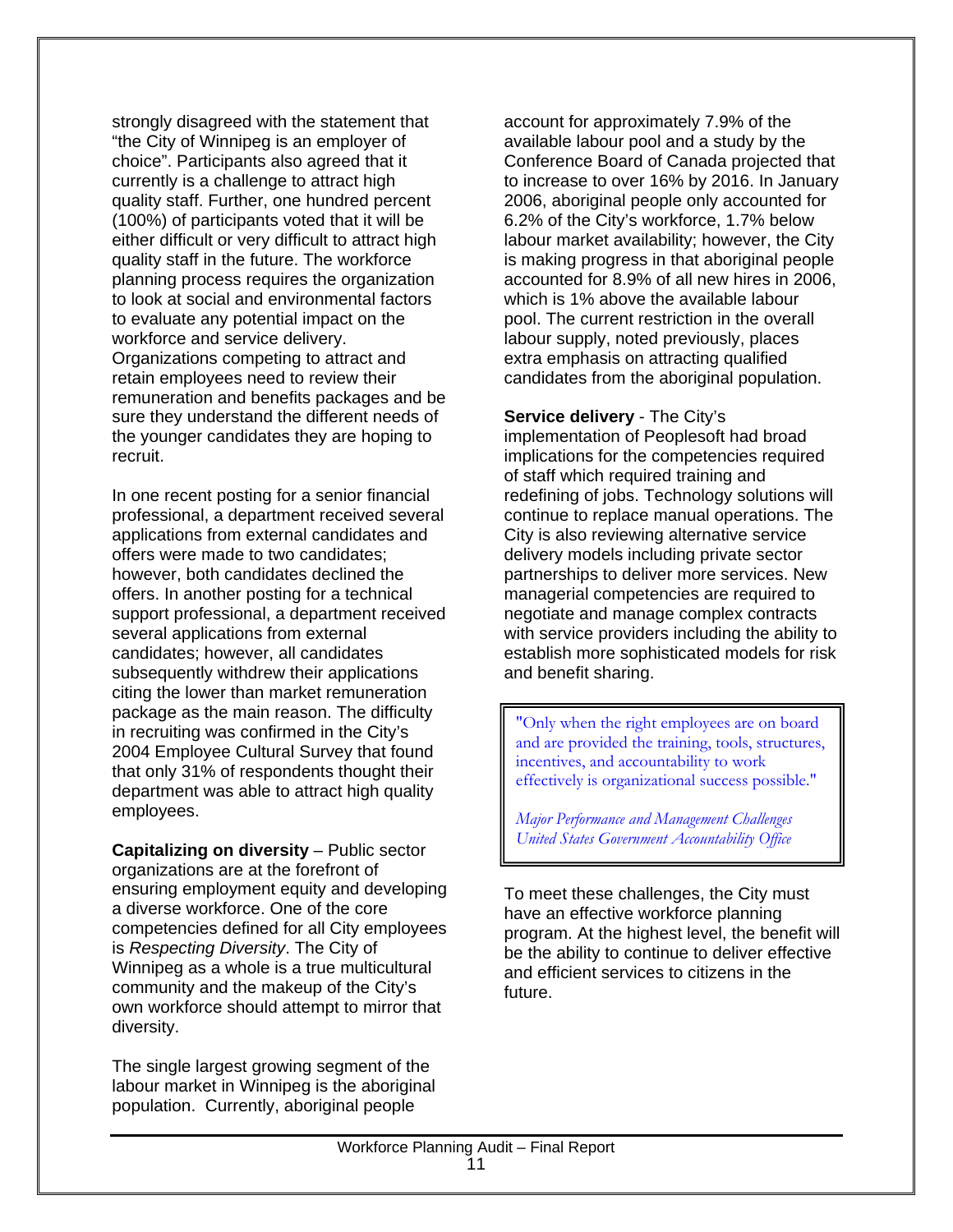strongly disagreed with the statement that "the City of Winnipeg is an employer of choice". Participants also agreed that it currently is a challenge to attract high quality staff. Further, one hundred percent (100%) of participants voted that it will be either difficult or very difficult to attract high quality staff in the future. The workforce planning process requires the organization to look at social and environmental factors to evaluate any potential impact on the workforce and service delivery. Organizations competing to attract and retain employees need to review their remuneration and benefits packages and be sure they understand the different needs of the younger candidates they are hoping to recruit.

In one recent posting for a senior financial professional, a department received several applications from external candidates and offers were made to two candidates; however, both candidates declined the offers. In another posting for a technical support professional, a department received several applications from external candidates; however, all candidates subsequently withdrew their applications citing the lower than market remuneration package as the main reason. The difficulty in recruiting was confirmed in the City's 2004 Employee Cultural Survey that found that only 31% of respondents thought their department was able to attract high quality employees.

**Capitalizing on diversity** – Public sector organizations are at the forefront of ensuring employment equity and developing a diverse workforce. One of the core competencies defined for all City employees is *Respecting Diversity*. The City of Winnipeg as a whole is a true multicultural community and the makeup of the City's own workforce should attempt to mirror that diversity.

The single largest growing segment of the labour market in Winnipeg is the aboriginal population. Currently, aboriginal people

account for approximately 7.9% of the available labour pool and a study by the Conference Board of Canada projected that to increase to over 16% by 2016. In January 2006, aboriginal people only accounted for 6.2% of the City's workforce, 1.7% below labour market availability; however, the City is making progress in that aboriginal people accounted for 8.9% of all new hires in 2006, which is 1% above the available labour pool. The current restriction in the overall labour supply, noted previously, places extra emphasis on attracting qualified candidates from the aboriginal population.

**Service delivery** - The City's

implementation of Peoplesoft had broad implications for the competencies required of staff which required training and redefining of jobs. Technology solutions will continue to replace manual operations. The City is also reviewing alternative service delivery models including private sector partnerships to deliver more services. New managerial competencies are required to negotiate and manage complex contracts with service providers including the ability to establish more sophisticated models for risk and benefit sharing.

"Only when the right employees are on board and are provided the training, tools, structures, incentives, and accountability to work effectively is organizational success possible."

*Major Performance and Management Challenges United States Government Accountability Office* 

To meet these challenges, the City must have an effective workforce planning program. At the highest level, the benefit will be the ability to continue to deliver effective and efficient services to citizens in the future.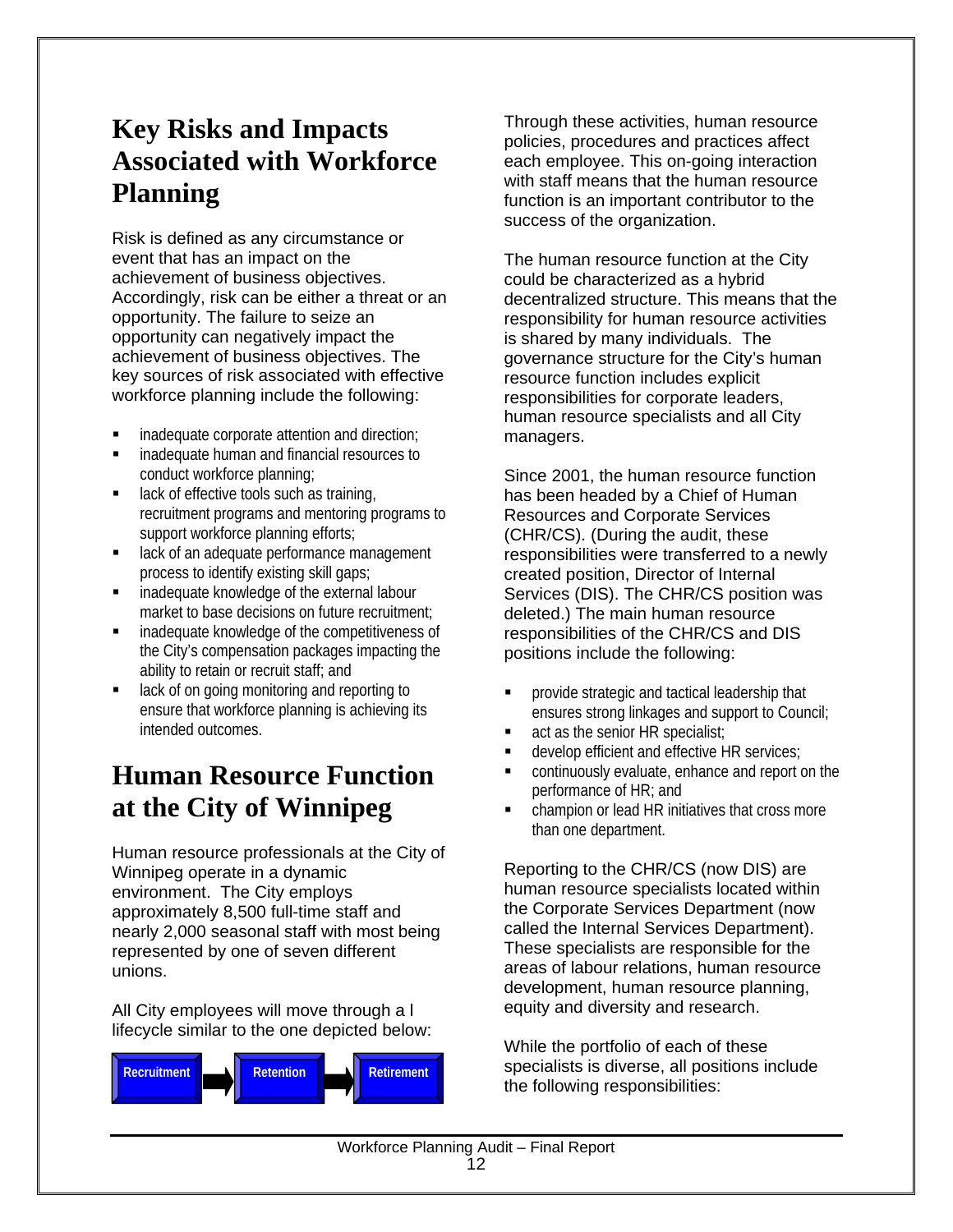# **Key Risks and Impacts Associated with Workforce Planning**

Risk is defined as any circumstance or event that has an impact on the achievement of business objectives. Accordingly, risk can be either a threat or an opportunity. The failure to seize an opportunity can negatively impact the achievement of business objectives. The key sources of risk associated with effective workforce planning include the following:

- inadequate corporate attention and direction;
- inadequate human and financial resources to conduct workforce planning;
- lack of effective tools such as training, recruitment programs and mentoring programs to support workforce planning efforts:
- **EXEC** lack of an adequate performance management process to identify existing skill gaps;
- inadequate knowledge of the external labour market to base decisions on future recruitment;
- inadequate knowledge of the competitiveness of the City's compensation packages impacting the ability to retain or recruit staff; and
- lack of on going monitoring and reporting to ensure that workforce planning is achieving its intended outcomes.

# **Human Resource Function at the City of Winnipeg**

Human resource professionals at the City of Winnipeg operate in a dynamic environment. The City employs approximately 8,500 full-time staff and nearly 2,000 seasonal staff with most being represented by one of seven different unions.

All City employees will move through a l lifecycle similar to the one depicted below:



Through these activities, human resource policies, procedures and practices affect each employee. This on-going interaction with staff means that the human resource function is an important contributor to the success of the organization.

The human resource function at the City could be characterized as a hybrid decentralized structure. This means that the responsibility for human resource activities is shared by many individuals. The governance structure for the City's human resource function includes explicit responsibilities for corporate leaders, human resource specialists and all City managers.

Since 2001, the human resource function has been headed by a Chief of Human Resources and Corporate Services (CHR/CS). (During the audit, these responsibilities were transferred to a newly created position, Director of Internal Services (DIS). The CHR/CS position was deleted.) The main human resource responsibilities of the CHR/CS and DIS positions include the following:

- **Provide strategic and tactical leadership that** ensures strong linkages and support to Council;
- act as the senior HR specialist;
- develop efficient and effective HR services;
- continuously evaluate, enhance and report on the performance of HR; and
- champion or lead HR initiatives that cross more than one department.

Reporting to the CHR/CS (now DIS) are human resource specialists located within the Corporate Services Department (now called the Internal Services Department). These specialists are responsible for the areas of labour relations, human resource development, human resource planning, equity and diversity and research.

While the portfolio of each of these specialists is diverse, all positions include the following responsibilities: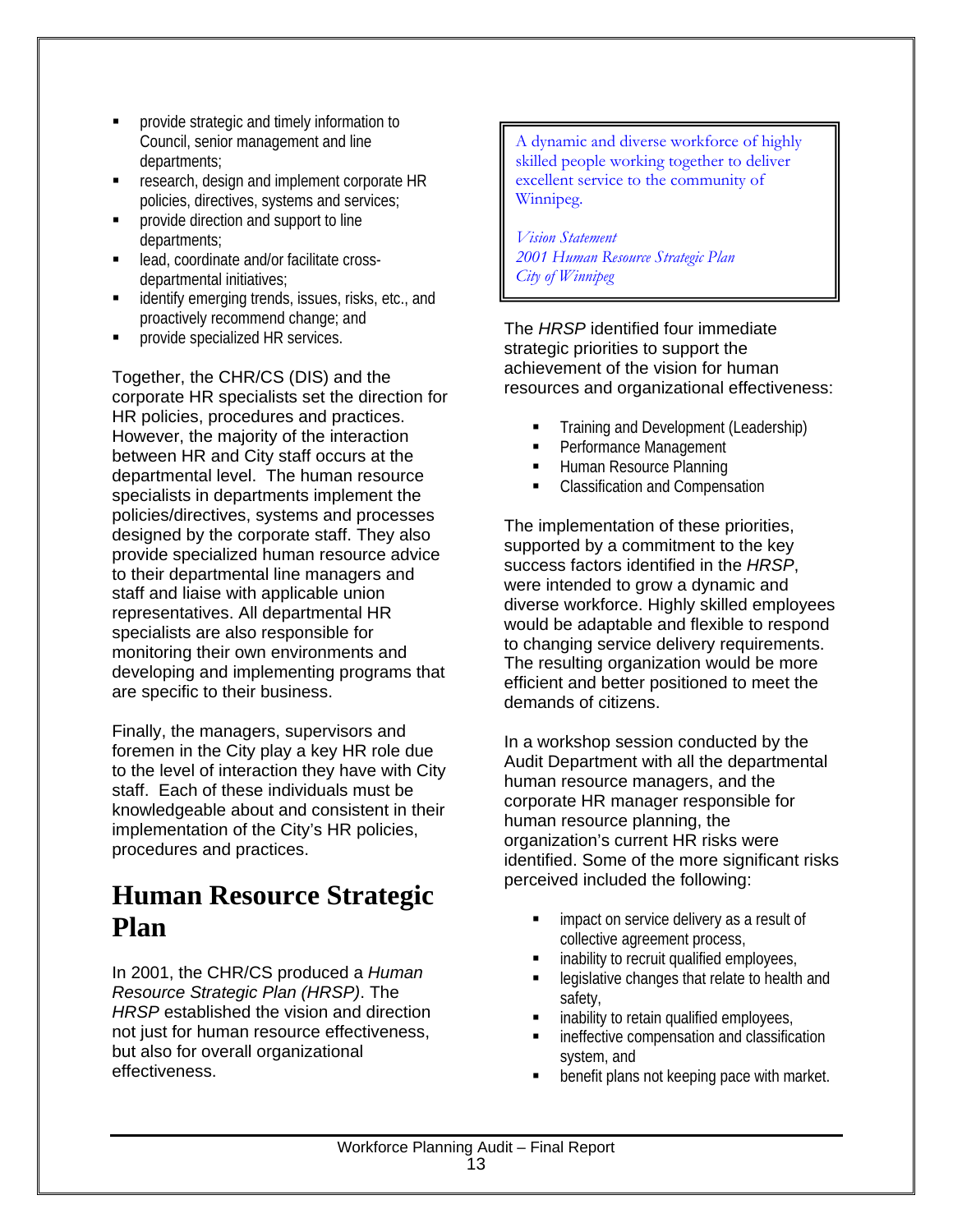- provide strategic and timely information to Council, senior management and line departments;
- research, design and implement corporate HR policies, directives, systems and services;
- provide direction and support to line departments;
- lead, coordinate and/or facilitate crossdepartmental initiatives;
- identify emerging trends, issues, risks, etc., and proactively recommend change; and
- provide specialized HR services.

Together, the CHR/CS (DIS) and the corporate HR specialists set the direction for HR policies, procedures and practices. However, the majority of the interaction between HR and City staff occurs at the departmental level. The human resource specialists in departments implement the policies/directives, systems and processes designed by the corporate staff. They also provide specialized human resource advice to their departmental line managers and staff and liaise with applicable union representatives. All departmental HR specialists are also responsible for monitoring their own environments and developing and implementing programs that are specific to their business.

Finally, the managers, supervisors and foremen in the City play a key HR role due to the level of interaction they have with City staff. Each of these individuals must be knowledgeable about and consistent in their implementation of the City's HR policies, procedures and practices.

# **Human Resource Strategic Plan**

In 2001, the CHR/CS produced a *Human Resource Strategic Plan (HRSP)*. The *HRSP* established the vision and direction not just for human resource effectiveness, but also for overall organizational effectiveness.

A dynamic and diverse workforce of highly skilled people working together to deliver excellent service to the community of Winnipeg.

*Vision Statement 2001 Human Resource Strategic Plan City of Winnipeg* 

The *HRSP* identified four immediate strategic priorities to support the achievement of the vision for human resources and organizational effectiveness:

- Training and Development (Leadership)
- Performance Management
- **Human Resource Planning**
- Classification and Compensation

The implementation of these priorities, supported by a commitment to the key success factors identified in the *HRSP*, were intended to grow a dynamic and diverse workforce. Highly skilled employees would be adaptable and flexible to respond to changing service delivery requirements. The resulting organization would be more efficient and better positioned to meet the demands of citizens.

In a workshop session conducted by the Audit Department with all the departmental human resource managers, and the corporate HR manager responsible for human resource planning, the organization's current HR risks were identified. Some of the more significant risks perceived included the following:

- **Full impact on service delivery as a result of** collective agreement process,
- inability to recruit qualified employees,
- **EXEC** legislative changes that relate to health and safety,
- inability to retain qualified employees,
- ineffective compensation and classification system, and
- benefit plans not keeping pace with market.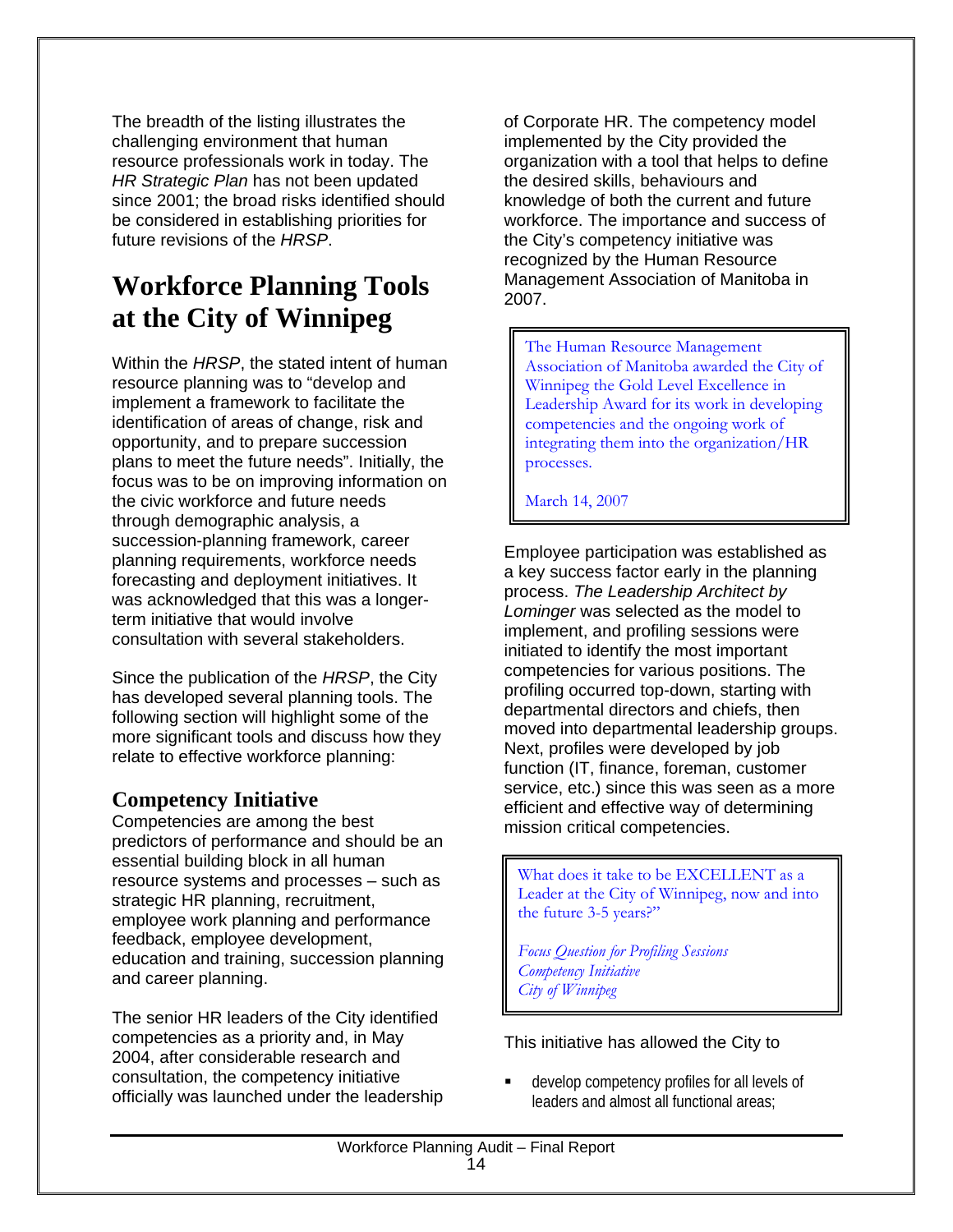The breadth of the listing illustrates the challenging environment that human resource professionals work in today. The *HR Strategic Plan* has not been updated since 2001; the broad risks identified should be considered in establishing priorities for future revisions of the *HRSP*.

# **Workforce Planning Tools at the City of Winnipeg**

Within the *HRSP*, the stated intent of human resource planning was to "develop and implement a framework to facilitate the identification of areas of change, risk and opportunity, and to prepare succession plans to meet the future needs". Initially, the focus was to be on improving information on the civic workforce and future needs through demographic analysis, a succession-planning framework, career planning requirements, workforce needs forecasting and deployment initiatives. It was acknowledged that this was a longerterm initiative that would involve consultation with several stakeholders.

Since the publication of the *HRSP*, the City has developed several planning tools. The following section will highlight some of the more significant tools and discuss how they relate to effective workforce planning:

## **Competency Initiative**

Competencies are among the best predictors of performance and should be an essential building block in all human resource systems and processes – such as strategic HR planning, recruitment, employee work planning and performance feedback, employee development, education and training, succession planning and career planning.

The senior HR leaders of the City identified competencies as a priority and, in May 2004, after considerable research and consultation, the competency initiative officially was launched under the leadership

of Corporate HR. The competency model implemented by the City provided the organization with a tool that helps to define the desired skills, behaviours and knowledge of both the current and future workforce. The importance and success of the City's competency initiative was recognized by the Human Resource Management Association of Manitoba in 2007.

The Human Resource Management Association of Manitoba awarded the City of Winnipeg the Gold Level Excellence in Leadership Award for its work in developing competencies and the ongoing work of integrating them into the organization/HR processes.

March 14, 2007

Employee participation was established as a key success factor early in the planning process. *The Leadership Architect by Lominger* was selected as the model to implement, and profiling sessions were initiated to identify the most important competencies for various positions. The profiling occurred top-down, starting with departmental directors and chiefs, then moved into departmental leadership groups. Next, profiles were developed by job function (IT, finance, foreman, customer service, etc.) since this was seen as a more efficient and effective way of determining mission critical competencies.

What does it take to be EXCELLENT as a Leader at the City of Winnipeg, now and into the future 3-5 years?"

*Focus Question for Profiling Sessions Competency Initiative City of Winnipeg*

This initiative has allowed the City to

 develop competency profiles for all levels of leaders and almost all functional areas;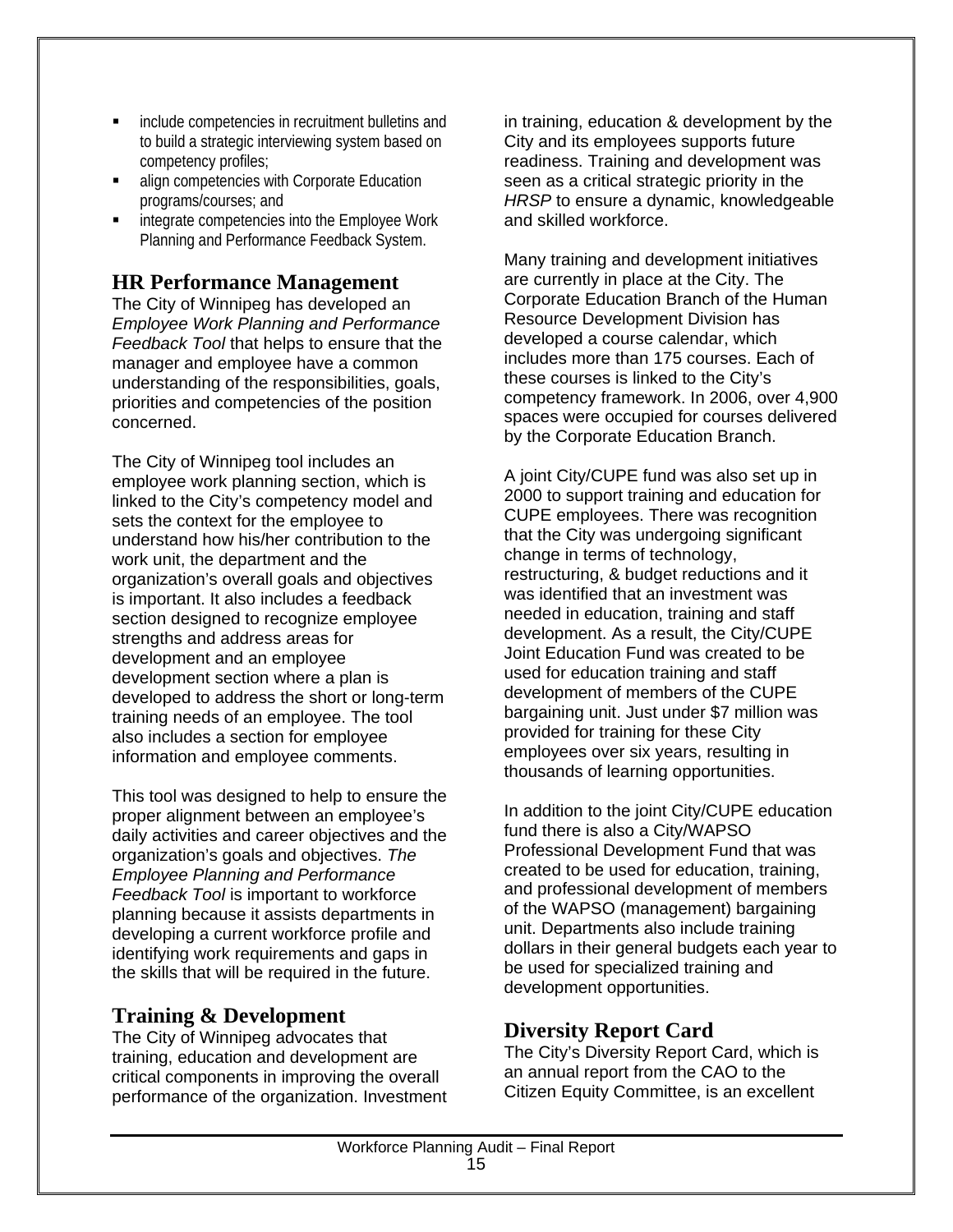- include competencies in recruitment bulletins and to build a strategic interviewing system based on competency profiles;
- align competencies with Corporate Education programs/courses; and
- integrate competencies into the Employee Work Planning and Performance Feedback System.

## **HR Performance Management**

The City of Winnipeg has developed an *Employee Work Planning and Performance Feedback Tool* that helps to ensure that the manager and employee have a common understanding of the responsibilities, goals, priorities and competencies of the position concerned.

The City of Winnipeg tool includes an employee work planning section, which is linked to the City's competency model and sets the context for the employee to understand how his/her contribution to the work unit, the department and the organization's overall goals and objectives is important. It also includes a feedback section designed to recognize employee strengths and address areas for development and an employee development section where a plan is developed to address the short or long-term training needs of an employee. The tool also includes a section for employee information and employee comments.

This tool was designed to help to ensure the proper alignment between an employee's daily activities and career objectives and the organization's goals and objectives. *The Employee Planning and Performance Feedback Tool* is important to workforce planning because it assists departments in developing a current workforce profile and identifying work requirements and gaps in the skills that will be required in the future.

## **Training & Development**

The City of Winnipeg advocates that training, education and development are critical components in improving the overall performance of the organization. Investment

in training, education & development by the City and its employees supports future readiness. Training and development was seen as a critical strategic priority in the *HRSP* to ensure a dynamic, knowledgeable and skilled workforce.

Many training and development initiatives are currently in place at the City. The Corporate Education Branch of the Human Resource Development Division has developed a course calendar, which includes more than 175 courses. Each of these courses is linked to the City's competency framework. In 2006, over 4,900 spaces were occupied for courses delivered by the Corporate Education Branch.

A joint City/CUPE fund was also set up in 2000 to support training and education for CUPE employees. There was recognition that the City was undergoing significant change in terms of technology, restructuring, & budget reductions and it was identified that an investment was needed in education, training and staff development. As a result, the City/CUPE Joint Education Fund was created to be used for education training and staff development of members of the CUPE bargaining unit. Just under \$7 million was provided for training for these City employees over six years, resulting in thousands of learning opportunities.

In addition to the joint City/CUPE education fund there is also a City/WAPSO Professional Development Fund that was created to be used for education, training, and professional development of members of the WAPSO (management) bargaining unit. Departments also include training dollars in their general budgets each year to be used for specialized training and development opportunities.

## **Diversity Report Card**

The City's Diversity Report Card, which is an annual report from the CAO to the Citizen Equity Committee, is an excellent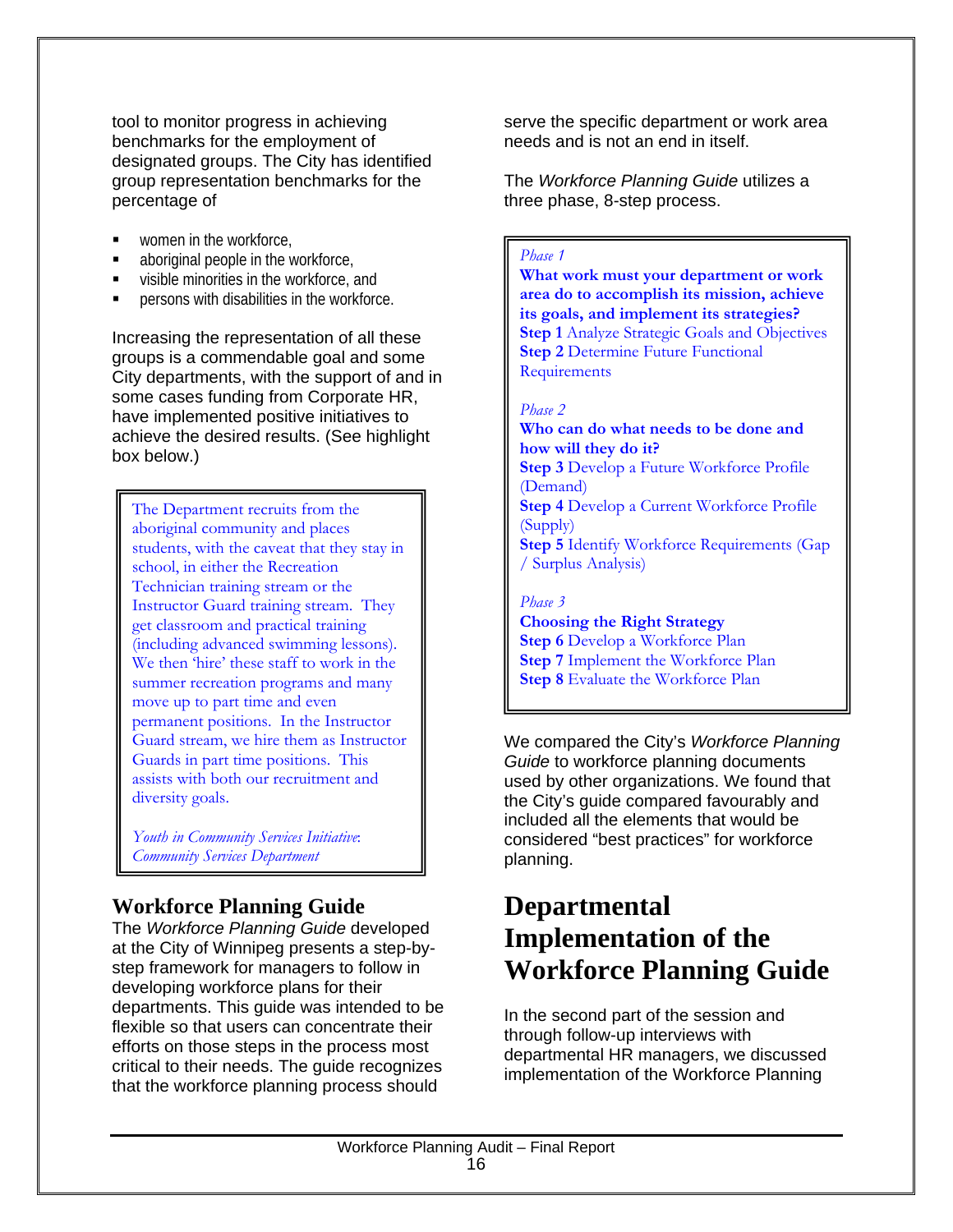tool to monitor progress in achieving benchmarks for the employment of designated groups. The City has identified group representation benchmarks for the percentage of

- women in the workforce,
- aboriginal people in the workforce,
- visible minorities in the workforce, and
- persons with disabilities in the workforce.

Increasing the representation of all these groups is a commendable goal and some City departments, with the support of and in some cases funding from Corporate HR, have implemented positive initiatives to achieve the desired results. (See highlight box below.)

The Department recruits from the aboriginal community and places students, with the caveat that they stay in school, in either the Recreation Technician training stream or the Instructor Guard training stream. They get classroom and practical training (including advanced swimming lessons). We then 'hire' these staff to work in the summer recreation programs and many move up to part time and even permanent positions. In the Instructor Guard stream, we hire them as Instructor Guards in part time positions. This assists with both our recruitment and diversity goals.

*Youth in Community Services Initiative*: *Community Services Department* 

## **Workforce Planning Guide**

The *Workforce Planning Guide* developed at the City of Winnipeg presents a step-bystep framework for managers to follow in developing workforce plans for their departments. This guide was intended to be flexible so that users can concentrate their efforts on those steps in the process most critical to their needs. The guide recognizes that the workforce planning process should

serve the specific department or work area needs and is not an end in itself.

The *Workforce Planning Guide* utilizes a three phase, 8-step process.

#### *Phase 1*

**What work must your department or work area do to accomplish its mission, achieve its goals, and implement its strategies? Step 1** Analyze Strategic Goals and Objectives **Step 2** Determine Future Functional Requirements

#### *Phase 2*

**Who can do what needs to be done and how will they do it? Step 3** Develop a Future Workforce Profile (Demand) **Step 4** Develop a Current Workforce Profile (Supply) **Step 5** Identify Workforce Requirements (Gap / Surplus Analysis)

#### *Phase 3*

**Choosing the Right Strategy Step 6** Develop a Workforce Plan **Step 7** Implement the Workforce Plan **Step 8** Evaluate the Workforce Plan

We compared the City's *Workforce Planning Guide* to workforce planning documents used by other organizations. We found that the City's guide compared favourably and included all the elements that would be considered "best practices" for workforce planning.

# **Departmental Implementation of the Workforce Planning Guide**

In the second part of the session and through follow-up interviews with departmental HR managers, we discussed implementation of the Workforce Planning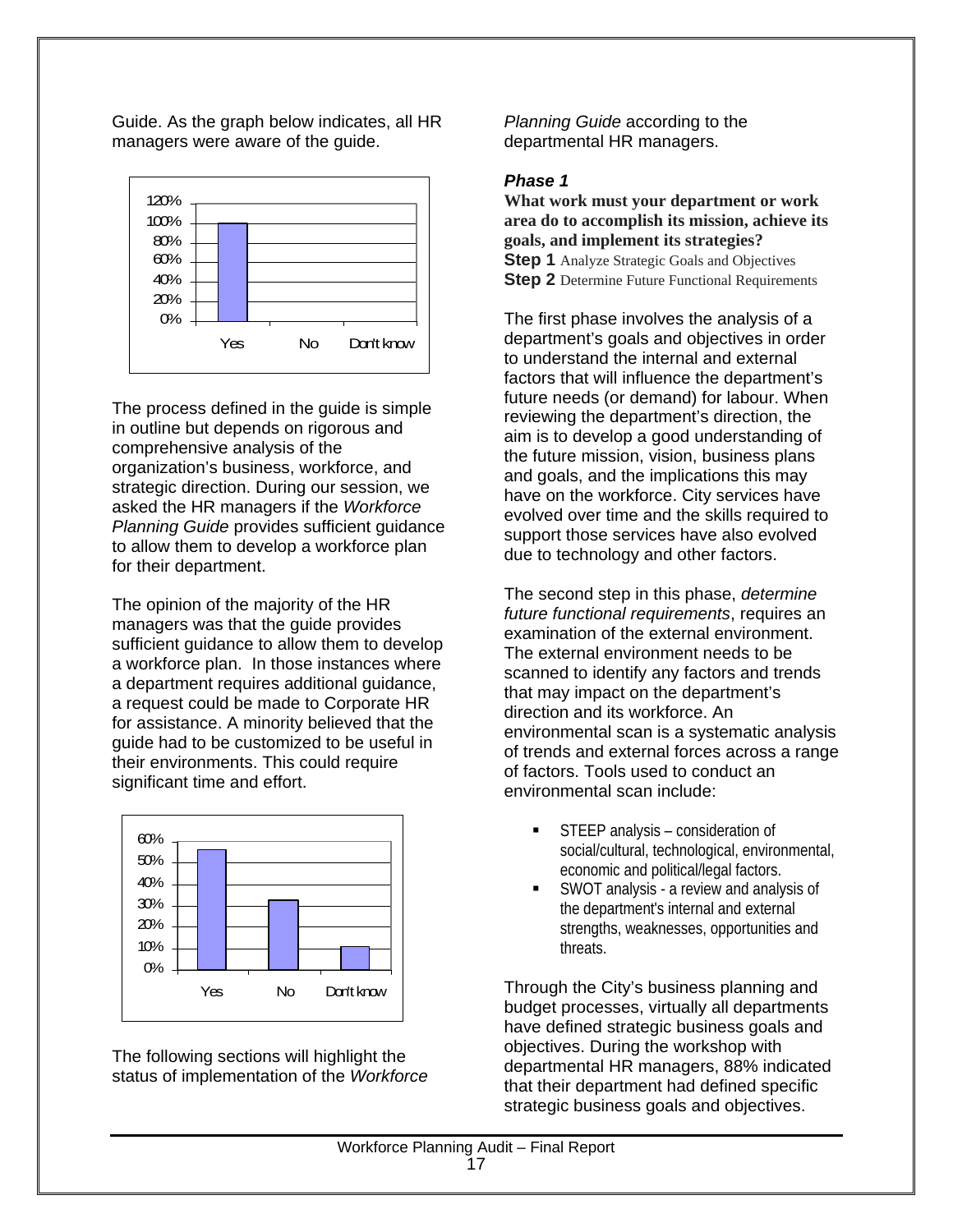Guide. As the graph below indicates, all HR managers were aware of the guide.



The process defined in the guide is simple in outline but depends on rigorous and comprehensive analysis of the organization's business, workforce, and strategic direction. During our session, we asked the HR managers if the *Workforce Planning Guide* provides sufficient guidance to allow them to develop a workforce plan for their department.

The opinion of the majority of the HR managers was that the guide provides sufficient guidance to allow them to develop a workforce plan. In those instances where a department requires additional guidance, a request could be made to Corporate HR for assistance. A minority believed that the guide had to be customized to be useful in their environments. This could require significant time and effort.



The following sections will highlight the status of implementation of the *Workforce*  *Planning Guide* according to the departmental HR managers.

## *Phase 1*

**What work must your department or work area do to accomplish its mission, achieve its goals, and implement its strategies? Step 1** Analyze Strategic Goals and Objectives **Step 2** Determine Future Functional Requirements

The first phase involves the analysis of a department's goals and objectives in order to understand the internal and external factors that will influence the department's future needs (or demand) for labour. When reviewing the department's direction, the aim is to develop a good understanding of the future mission, vision, business plans and goals, and the implications this may have on the workforce. City services have evolved over time and the skills required to support those services have also evolved due to technology and other factors.

The second step in this phase, *determine future functional requirements*, requires an examination of the external environment. The external environment needs to be scanned to identify any factors and trends that may impact on the department's direction and its workforce. An environmental scan is a systematic analysis of trends and external forces across a range of factors. Tools used to conduct an environmental scan include:

- STEEP analysis consideration of social/cultural, technological, environmental, economic and political/legal factors.
- SWOT analysis a review and analysis of the department's internal and external strengths, weaknesses, opportunities and threats.

Through the City's business planning and budget processes, virtually all departments have defined strategic business goals and objectives. During the workshop with departmental HR managers, 88% indicated that their department had defined specific strategic business goals and objectives.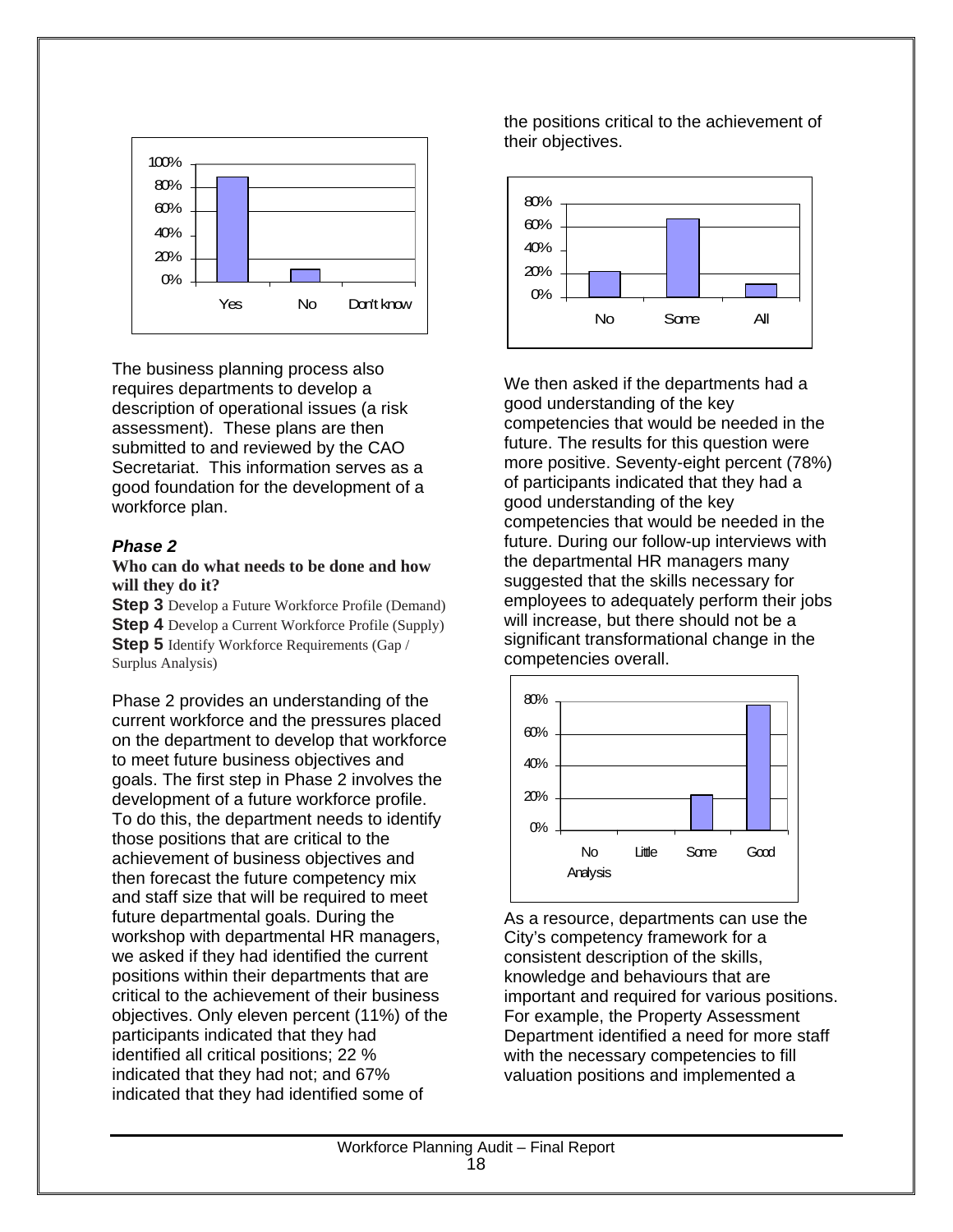

The business planning process also requires departments to develop a description of operational issues (a risk assessment). These plans are then submitted to and reviewed by the CAO Secretariat. This information serves as a good foundation for the development of a workforce plan.

#### *Phase 2*

#### **Who can do what needs to be done and how will they do it?**

**Step 3** Develop a Future Workforce Profile (Demand) **Step 4** Develop a Current Workforce Profile (Supply) **Step 5** Identify Workforce Requirements (Gap / Surplus Analysis)

Phase 2 provides an understanding of the current workforce and the pressures placed on the department to develop that workforce to meet future business objectives and goals. The first step in Phase 2 involves the development of a future workforce profile. To do this, the department needs to identify those positions that are critical to the achievement of business objectives and then forecast the future competency mix and staff size that will be required to meet future departmental goals. During the workshop with departmental HR managers, we asked if they had identified the current positions within their departments that are critical to the achievement of their business objectives. Only eleven percent (11%) of the participants indicated that they had identified all critical positions; 22 % indicated that they had not; and 67% indicated that they had identified some of

the positions critical to the achievement of their objectives.



We then asked if the departments had a good understanding of the key competencies that would be needed in the future. The results for this question were more positive. Seventy-eight percent (78%) of participants indicated that they had a good understanding of the key competencies that would be needed in the future. During our follow-up interviews with the departmental HR managers many suggested that the skills necessary for employees to adequately perform their jobs will increase, but there should not be a significant transformational change in the competencies overall.



As a resource, departments can use the City's competency framework for a consistent description of the skills, knowledge and behaviours that are important and required for various positions. For example, the Property Assessment Department identified a need for more staff with the necessary competencies to fill valuation positions and implemented a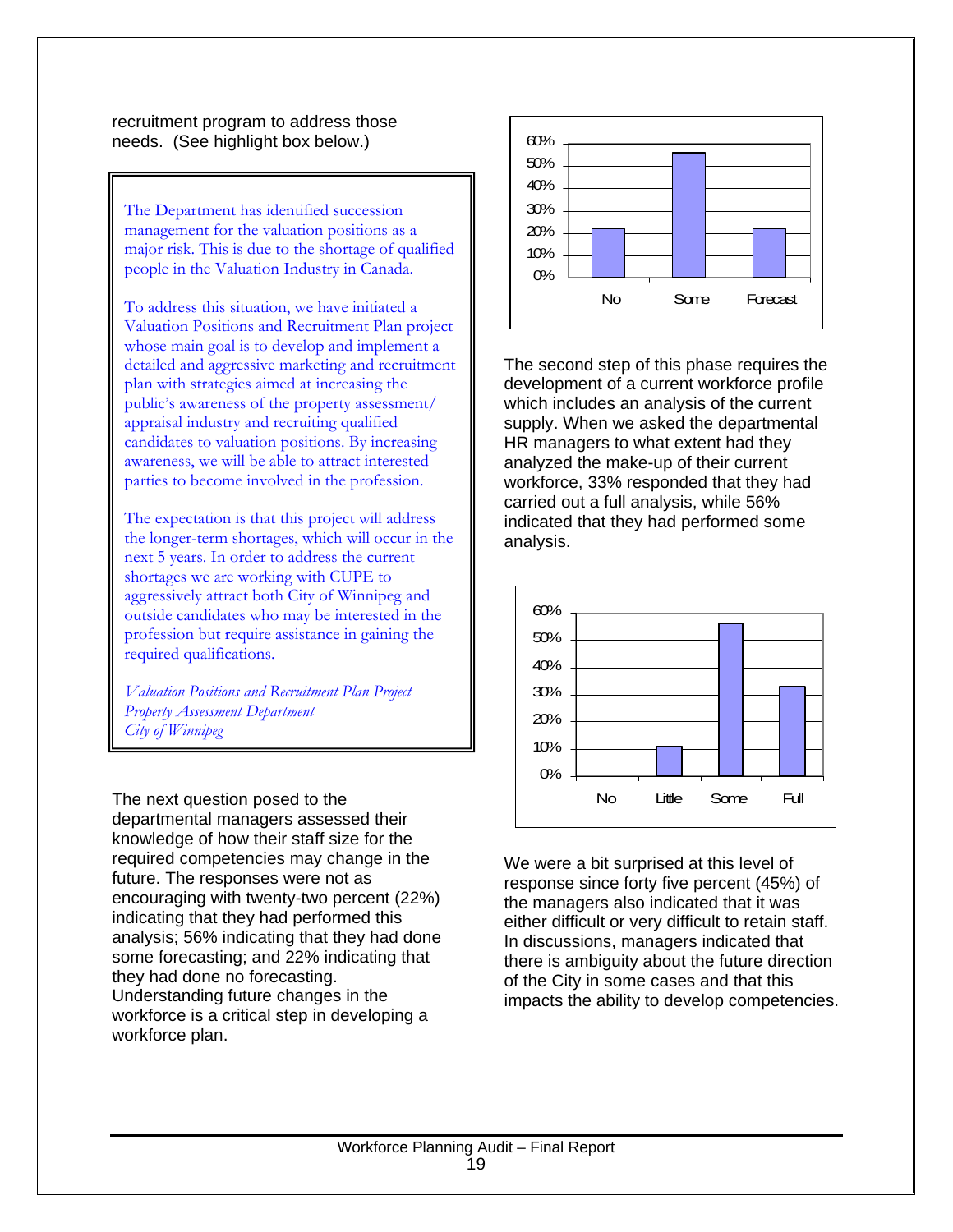recruitment program to address those needs. (See highlight box below.)

The Department has identified succession management for the valuation positions as a major risk. This is due to the shortage of qualified people in the Valuation Industry in Canada.

To address this situation, we have initiated a Valuation Positions and Recruitment Plan project whose main goal is to develop and implement a detailed and aggressive marketing and recruitment plan with strategies aimed at increasing the public's awareness of the property assessment/ appraisal industry and recruiting qualified candidates to valuation positions. By increasing awareness, we will be able to attract interested parties to become involved in the profession.

The expectation is that this project will address the longer-term shortages, which will occur in the next 5 years. In order to address the current shortages we are working with CUPE to aggressively attract both City of Winnipeg and outside candidates who may be interested in the profession but require assistance in gaining the required qualifications.

*Valuation Positions and Recruitment Plan Project Property Assessment Department City of Winnipeg*

The next question posed to the departmental managers assessed their knowledge of how their staff size for the required competencies may change in the future. The responses were not as encouraging with twenty-two percent (22%) indicating that they had performed this analysis; 56% indicating that they had done some forecasting; and 22% indicating that they had done no forecasting. Understanding future changes in the workforce is a critical step in developing a workforce plan.



The second step of this phase requires the development of a current workforce profile which includes an analysis of the current supply. When we asked the departmental HR managers to what extent had they analyzed the make-up of their current workforce, 33% responded that they had carried out a full analysis, while 56% indicated that they had performed some analysis.



We were a bit surprised at this level of response since forty five percent (45%) of the managers also indicated that it was either difficult or very difficult to retain staff. In discussions, managers indicated that there is ambiguity about the future direction of the City in some cases and that this impacts the ability to develop competencies.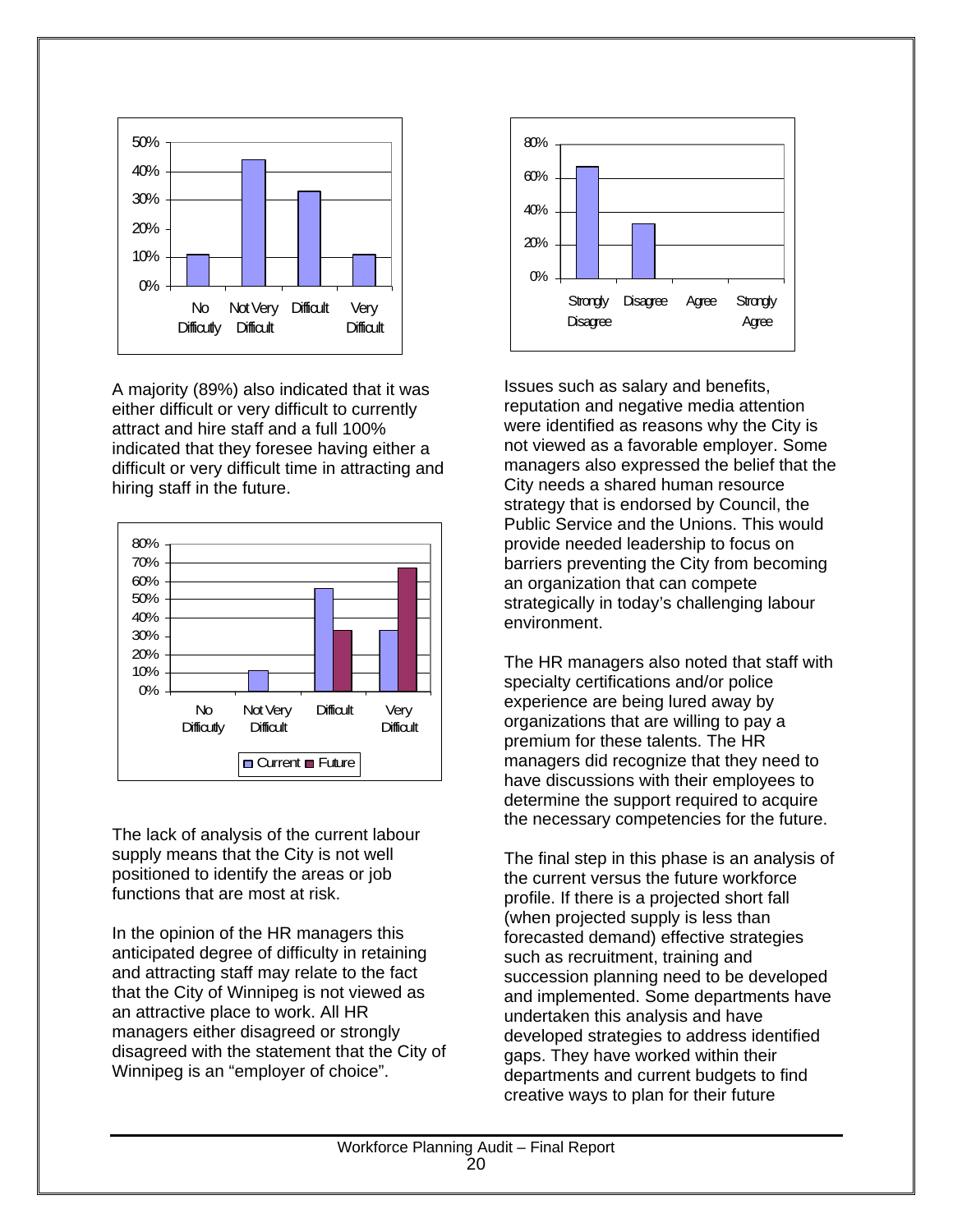

A majority (89%) also indicated that it was either difficult or very difficult to currently attract and hire staff and a full 100% indicated that they foresee having either a difficult or very difficult time in attracting and hiring staff in the future.



The lack of analysis of the current labour supply means that the City is not well positioned to identify the areas or job functions that are most at risk.

In the opinion of the HR managers this anticipated degree of difficulty in retaining and attracting staff may relate to the fact that the City of Winnipeg is not viewed as an attractive place to work. All HR managers either disagreed or strongly disagreed with the statement that the City of Winnipeg is an "employer of choice".



Issues such as salary and benefits, reputation and negative media attention were identified as reasons why the City is not viewed as a favorable employer. Some managers also expressed the belief that the City needs a shared human resource strategy that is endorsed by Council, the Public Service and the Unions. This would provide needed leadership to focus on barriers preventing the City from becoming an organization that can compete strategically in today's challenging labour environment.

The HR managers also noted that staff with specialty certifications and/or police experience are being lured away by organizations that are willing to pay a premium for these talents. The HR managers did recognize that they need to have discussions with their employees to determine the support required to acquire the necessary competencies for the future.

The final step in this phase is an analysis of the current versus the future workforce profile. If there is a projected short fall (when projected supply is less than forecasted demand) effective strategies such as recruitment, training and succession planning need to be developed and implemented. Some departments have undertaken this analysis and have developed strategies to address identified gaps. They have worked within their departments and current budgets to find creative ways to plan for their future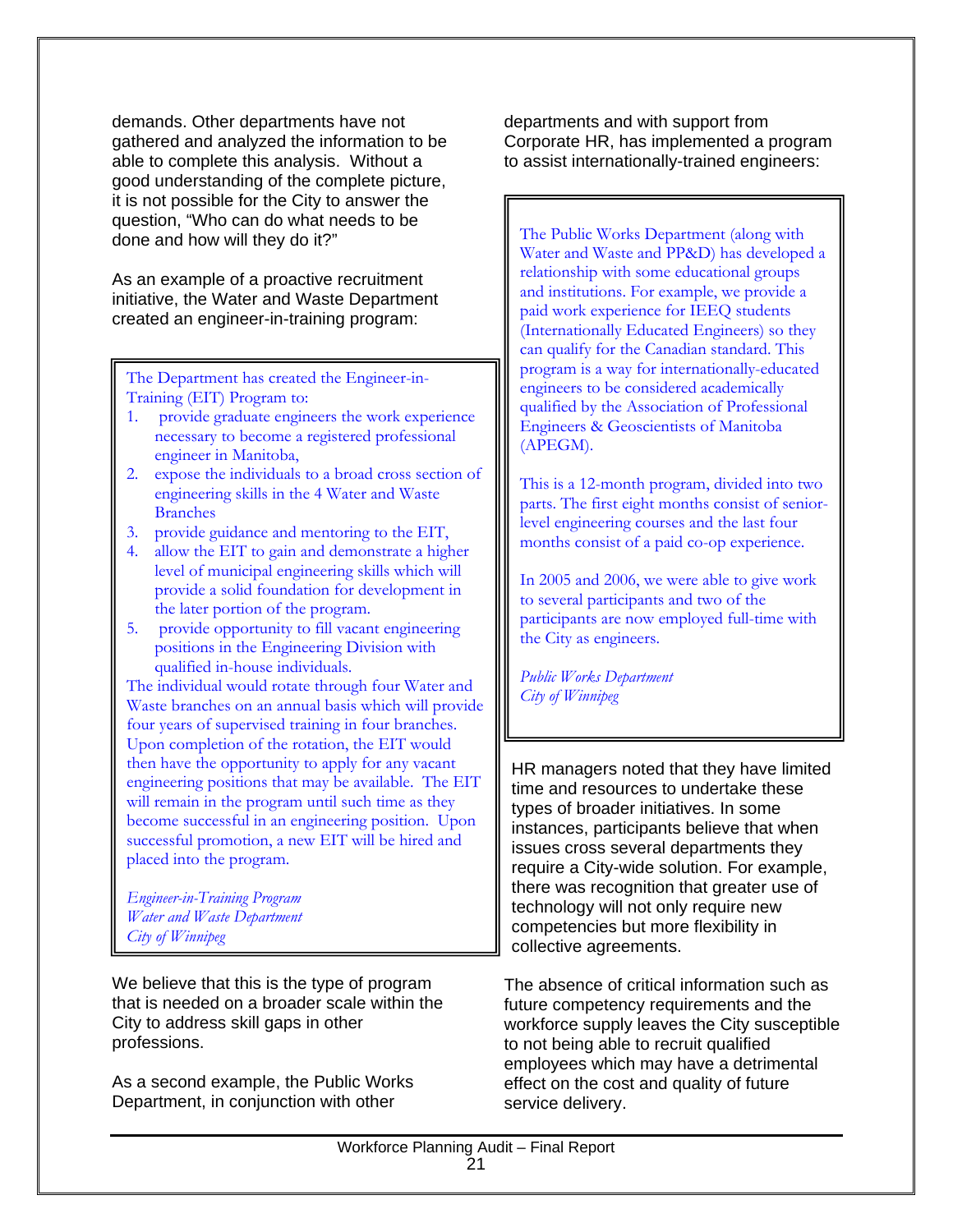demands. Other departments have not gathered and analyzed the information to be able to complete this analysis. Without a good understanding of the complete picture, it is not possible for the City to answer the question, "Who can do what needs to be done and how will they do it?"

As an example of a proactive recruitment initiative, the Water and Waste Department created an engineer-in-training program:

The Department has created the Engineer-in-Training (EIT) Program to:

- 1. provide graduate engineers the work experience necessary to become a registered professional engineer in Manitoba,
- 2. expose the individuals to a broad cross section of engineering skills in the 4 Water and Waste Branches
- 3. provide guidance and mentoring to the EIT,
- 4. allow the EIT to gain and demonstrate a higher level of municipal engineering skills which will provide a solid foundation for development in the later portion of the program.
- 5. provide opportunity to fill vacant engineering positions in the Engineering Division with qualified in-house individuals.

The individual would rotate through four Water and Waste branches on an annual basis which will provide four years of supervised training in four branches. Upon completion of the rotation, the EIT would then have the opportunity to apply for any vacant engineering positions that may be available. The EIT will remain in the program until such time as they become successful in an engineering position. Upon successful promotion, a new EIT will be hired and placed into the program.

*Engineer-in-Training Program Water and Waste Department City of Winnipeg* 

We believe that this is the type of program that is needed on a broader scale within the City to address skill gaps in other professions.

As a second example, the Public Works Department, in conjunction with other

departments and with support from Corporate HR, has implemented a program to assist internationally-trained engineers:

The Public Works Department (along with Water and Waste and PP&D) has developed a relationship with some educational groups and institutions. For example, we provide a paid work experience for IEEQ students (Internationally Educated Engineers) so they can qualify for the Canadian standard. This program is a way for internationally-educated engineers to be considered academically qualified by the Association of Professional Engineers & Geoscientists of Manitoba (APEGM).

This is a 12-month program, divided into two parts. The first eight months consist of seniorlevel engineering courses and the last four months consist of a paid co-op experience.

In 2005 and 2006, we were able to give work to several participants and two of the participants are now employed full-time with the City as engineers.

*Public Works Department City of Winnipeg* 

HR managers noted that they have limited time and resources to undertake these types of broader initiatives. In some instances, participants believe that when issues cross several departments they require a City-wide solution. For example, there was recognition that greater use of technology will not only require new competencies but more flexibility in collective agreements.

The absence of critical information such as future competency requirements and the workforce supply leaves the City susceptible to not being able to recruit qualified employees which may have a detrimental effect on the cost and quality of future service delivery.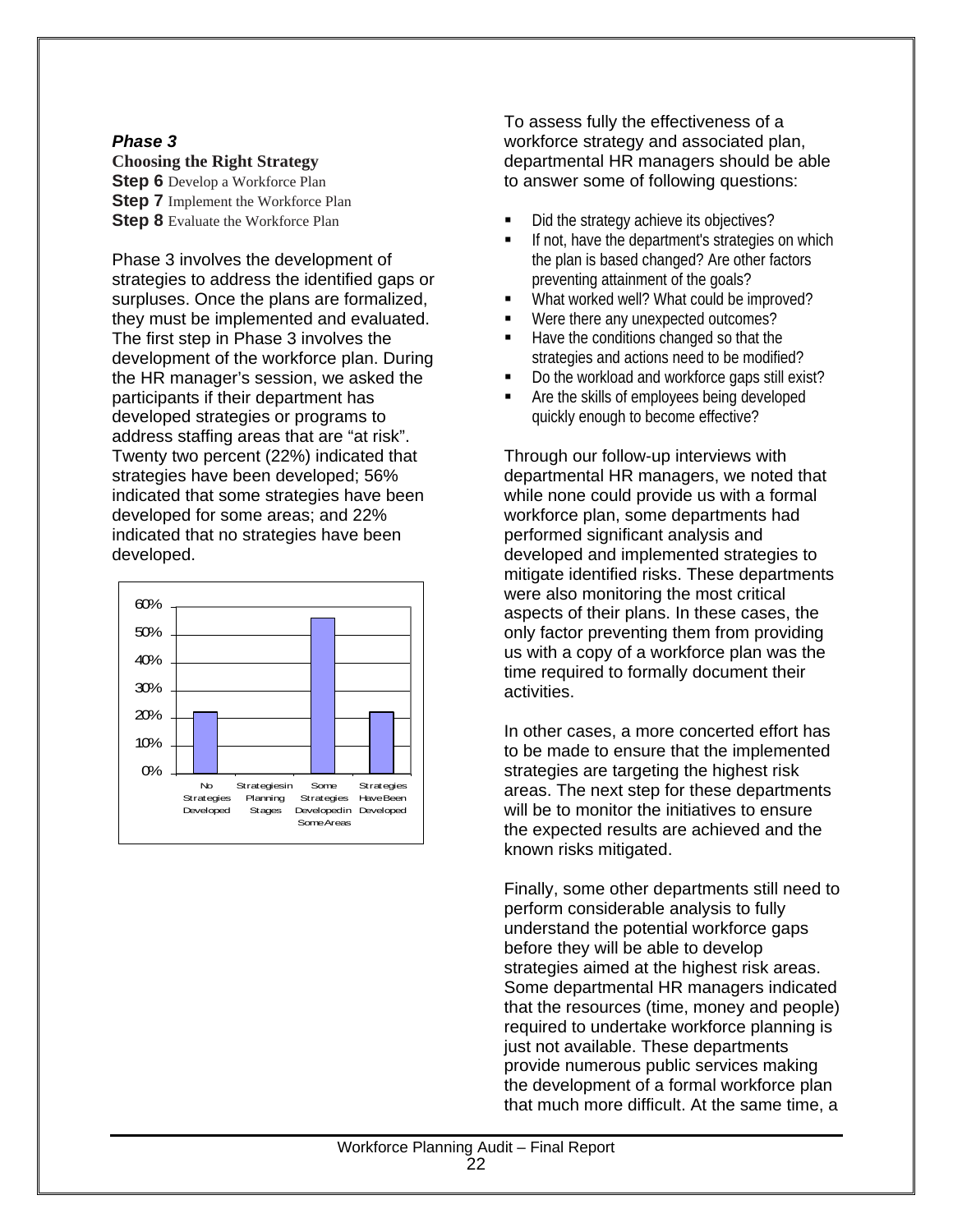#### *Phase 3*

## **Choosing the Right Strategy**

**Step 6** Develop a Workforce Plan **Step 7** Implement the Workforce Plan **Step 8** Evaluate the Workforce Plan

Phase 3 involves the development of strategies to address the identified gaps or surpluses. Once the plans are formalized, they must be implemented and evaluated. The first step in Phase 3 involves the development of the workforce plan. During the HR manager's session, we asked the participants if their department has developed strategies or programs to address staffing areas that are "at risk". Twenty two percent (22%) indicated that strategies have been developed; 56% indicated that some strategies have been developed for some areas; and 22% indicated that no strategies have been developed.



To assess fully the effectiveness of a workforce strategy and associated plan, departmental HR managers should be able to answer some of following questions:

- Did the strategy achieve its objectives?
- **If not, have the department's strategies on which** the plan is based changed? Are other factors preventing attainment of the goals?
- **What worked well? What could be improved?**
- Were there any unexpected outcomes?
- Have the conditions changed so that the strategies and actions need to be modified?
- Do the workload and workforce gaps still exist?
- Are the skills of employees being developed quickly enough to become effective?

Through our follow-up interviews with departmental HR managers, we noted that while none could provide us with a formal workforce plan, some departments had performed significant analysis and developed and implemented strategies to mitigate identified risks. These departments were also monitoring the most critical aspects of their plans. In these cases, the only factor preventing them from providing us with a copy of a workforce plan was the time required to formally document their activities.

In other cases, a more concerted effort has to be made to ensure that the implemented strategies are targeting the highest risk areas. The next step for these departments will be to monitor the initiatives to ensure the expected results are achieved and the known risks mitigated.

Finally, some other departments still need to perform considerable analysis to fully understand the potential workforce gaps before they will be able to develop strategies aimed at the highest risk areas. Some departmental HR managers indicated that the resources (time, money and people) required to undertake workforce planning is just not available. These departments provide numerous public services making the development of a formal workforce plan that much more difficult. At the same time, a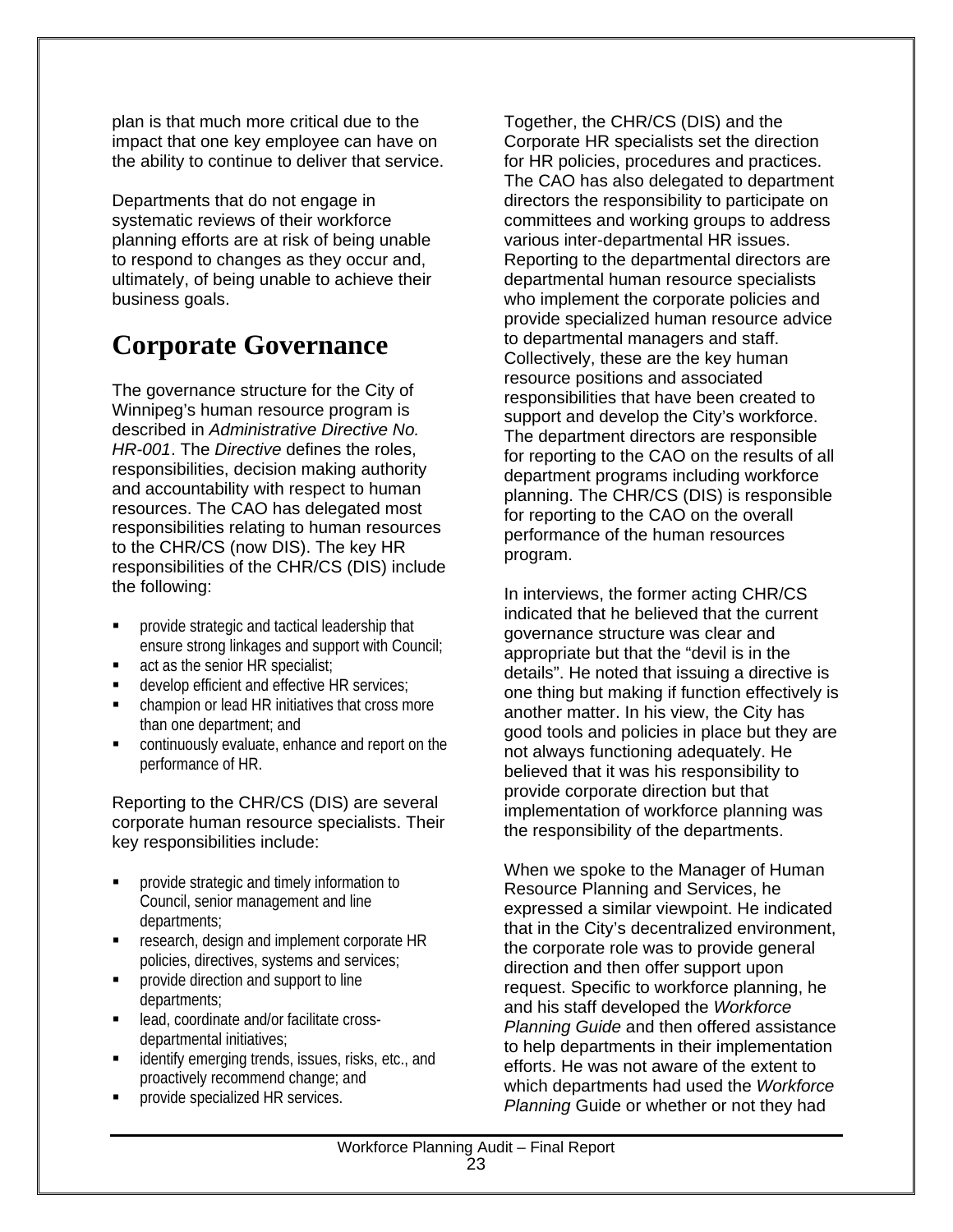plan is that much more critical due to the impact that one key employee can have on the ability to continue to deliver that service.

Departments that do not engage in systematic reviews of their workforce planning efforts are at risk of being unable to respond to changes as they occur and, ultimately, of being unable to achieve their business goals.

# **Corporate Governance**

The governance structure for the City of Winnipeg's human resource program is described in *Administrative Directive No. HR-001*. The *Directive* defines the roles, responsibilities, decision making authority and accountability with respect to human resources. The CAO has delegated most responsibilities relating to human resources to the CHR/CS (now DIS). The key HR responsibilities of the CHR/CS (DIS) include the following:

- provide strategic and tactical leadership that ensure strong linkages and support with Council;
- act as the senior HR specialist;
- develop efficient and effective HR services;
- champion or lead HR initiatives that cross more than one department; and
- continuously evaluate, enhance and report on the performance of HR.

Reporting to the CHR/CS (DIS) are several corporate human resource specialists. Their key responsibilities include:

- provide strategic and timely information to Council, senior management and line departments;
- research, design and implement corporate HR policies, directives, systems and services;
- provide direction and support to line departments;
- lead, coordinate and/or facilitate crossdepartmental initiatives;
- identify emerging trends, issues, risks, etc., and proactively recommend change; and
- provide specialized HR services.

Together, the CHR/CS (DIS) and the Corporate HR specialists set the direction for HR policies, procedures and practices. The CAO has also delegated to department directors the responsibility to participate on committees and working groups to address various inter-departmental HR issues. Reporting to the departmental directors are departmental human resource specialists who implement the corporate policies and provide specialized human resource advice to departmental managers and staff. Collectively, these are the key human resource positions and associated responsibilities that have been created to support and develop the City's workforce. The department directors are responsible for reporting to the CAO on the results of all department programs including workforce planning. The CHR/CS (DIS) is responsible for reporting to the CAO on the overall performance of the human resources program.

In interviews, the former acting CHR/CS indicated that he believed that the current governance structure was clear and appropriate but that the "devil is in the details". He noted that issuing a directive is one thing but making if function effectively is another matter. In his view, the City has good tools and policies in place but they are not always functioning adequately. He believed that it was his responsibility to provide corporate direction but that implementation of workforce planning was the responsibility of the departments.

When we spoke to the Manager of Human Resource Planning and Services, he expressed a similar viewpoint. He indicated that in the City's decentralized environment, the corporate role was to provide general direction and then offer support upon request. Specific to workforce planning, he and his staff developed the *Workforce Planning Guide* and then offered assistance to help departments in their implementation efforts. He was not aware of the extent to which departments had used the *Workforce Planning* Guide or whether or not they had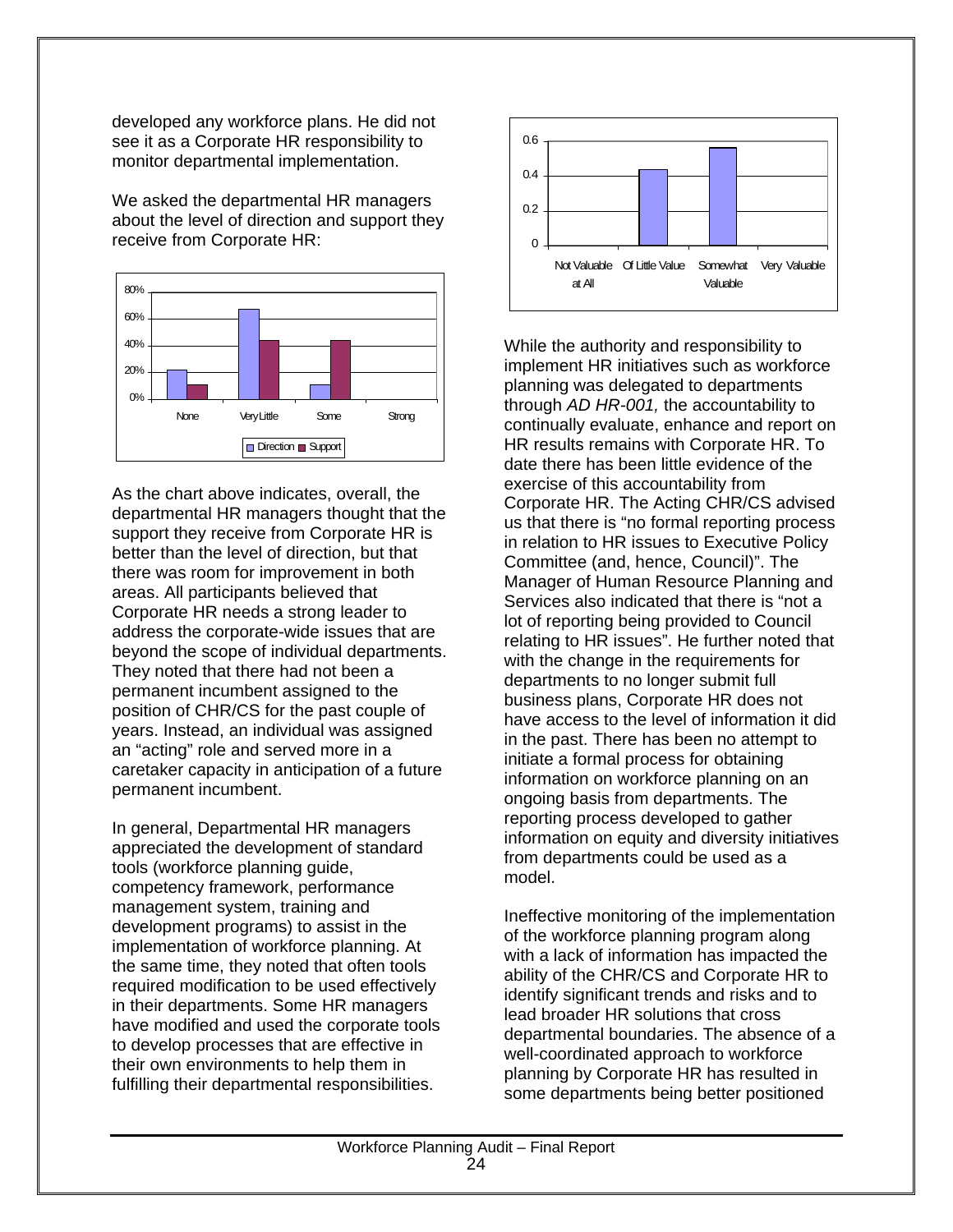developed any workforce plans. He did not see it as a Corporate HR responsibility to monitor departmental implementation.

We asked the departmental HR managers about the level of direction and support they receive from Corporate HR:



As the chart above indicates, overall, the departmental HR managers thought that the support they receive from Corporate HR is better than the level of direction, but that there was room for improvement in both areas. All participants believed that Corporate HR needs a strong leader to address the corporate-wide issues that are beyond the scope of individual departments. They noted that there had not been a permanent incumbent assigned to the position of CHR/CS for the past couple of years. Instead, an individual was assigned an "acting" role and served more in a caretaker capacity in anticipation of a future permanent incumbent.

In general, Departmental HR managers appreciated the development of standard tools (workforce planning guide, competency framework, performance management system, training and development programs) to assist in the implementation of workforce planning. At the same time, they noted that often tools required modification to be used effectively in their departments. Some HR managers have modified and used the corporate tools to develop processes that are effective in their own environments to help them in fulfilling their departmental responsibilities.



While the authority and responsibility to implement HR initiatives such as workforce planning was delegated to departments through *AD HR-001,* the accountability to continually evaluate, enhance and report on HR results remains with Corporate HR. To date there has been little evidence of the exercise of this accountability from Corporate HR. The Acting CHR/CS advised us that there is "no formal reporting process in relation to HR issues to Executive Policy Committee (and, hence, Council)". The Manager of Human Resource Planning and Services also indicated that there is "not a lot of reporting being provided to Council relating to HR issues". He further noted that with the change in the requirements for departments to no longer submit full business plans, Corporate HR does not have access to the level of information it did in the past. There has been no attempt to initiate a formal process for obtaining information on workforce planning on an ongoing basis from departments. The reporting process developed to gather information on equity and diversity initiatives from departments could be used as a model.

Ineffective monitoring of the implementation of the workforce planning program along with a lack of information has impacted the ability of the CHR/CS and Corporate HR to identify significant trends and risks and to lead broader HR solutions that cross departmental boundaries. The absence of a well-coordinated approach to workforce planning by Corporate HR has resulted in some departments being better positioned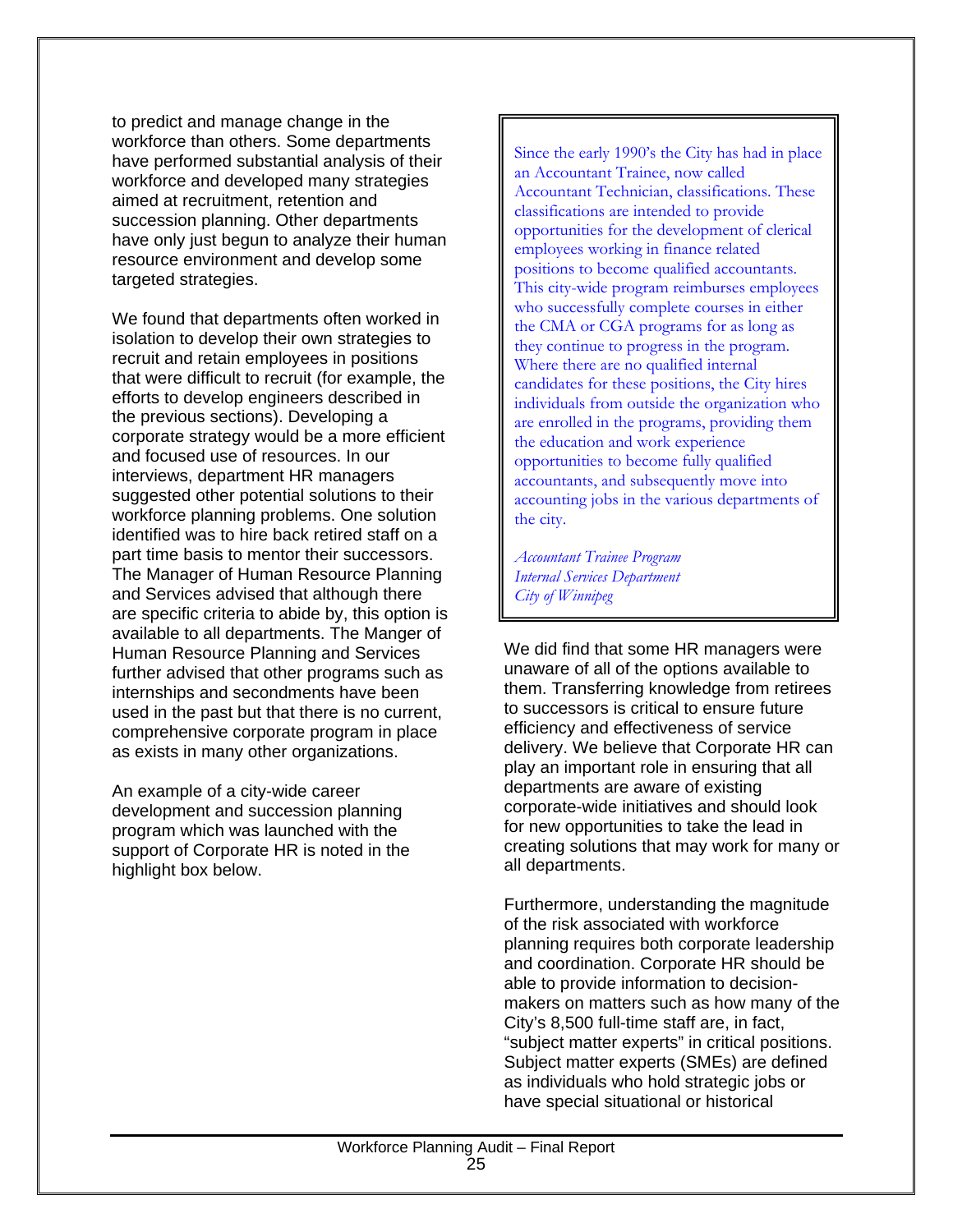to predict and manage change in the workforce than others. Some departments have performed substantial analysis of their workforce and developed many strategies aimed at recruitment, retention and succession planning. Other departments have only just begun to analyze their human resource environment and develop some targeted strategies.

We found that departments often worked in isolation to develop their own strategies to recruit and retain employees in positions that were difficult to recruit (for example, the efforts to develop engineers described in the previous sections). Developing a corporate strategy would be a more efficient and focused use of resources. In our interviews, department HR managers suggested other potential solutions to their workforce planning problems. One solution identified was to hire back retired staff on a part time basis to mentor their successors. The Manager of Human Resource Planning and Services advised that although there are specific criteria to abide by, this option is available to all departments. The Manger of Human Resource Planning and Services further advised that other programs such as internships and secondments have been used in the past but that there is no current, comprehensive corporate program in place as exists in many other organizations.

An example of a city-wide career development and succession planning program which was launched with the support of Corporate HR is noted in the highlight box below.

Since the early 1990's the City has had in place an Accountant Trainee, now called Accountant Technician, classifications. These classifications are intended to provide opportunities for the development of clerical employees working in finance related positions to become qualified accountants. This city-wide program reimburses employees who successfully complete courses in either the CMA or CGA programs for as long as they continue to progress in the program. Where there are no qualified internal candidates for these positions, the City hires individuals from outside the organization who are enrolled in the programs, providing them the education and work experience opportunities to become fully qualified accountants, and subsequently move into accounting jobs in the various departments of the city.

*Accountant Trainee Program Internal Services Department City of Winnipeg* 

We did find that some HR managers were unaware of all of the options available to them. Transferring knowledge from retirees to successors is critical to ensure future efficiency and effectiveness of service delivery. We believe that Corporate HR can play an important role in ensuring that all departments are aware of existing corporate-wide initiatives and should look for new opportunities to take the lead in creating solutions that may work for many or all departments.

Furthermore, understanding the magnitude of the risk associated with workforce planning requires both corporate leadership and coordination. Corporate HR should be able to provide information to decisionmakers on matters such as how many of the City's 8,500 full-time staff are, in fact, "subject matter experts" in critical positions. Subject matter experts (SMEs) are defined as individuals who hold strategic jobs or have special situational or historical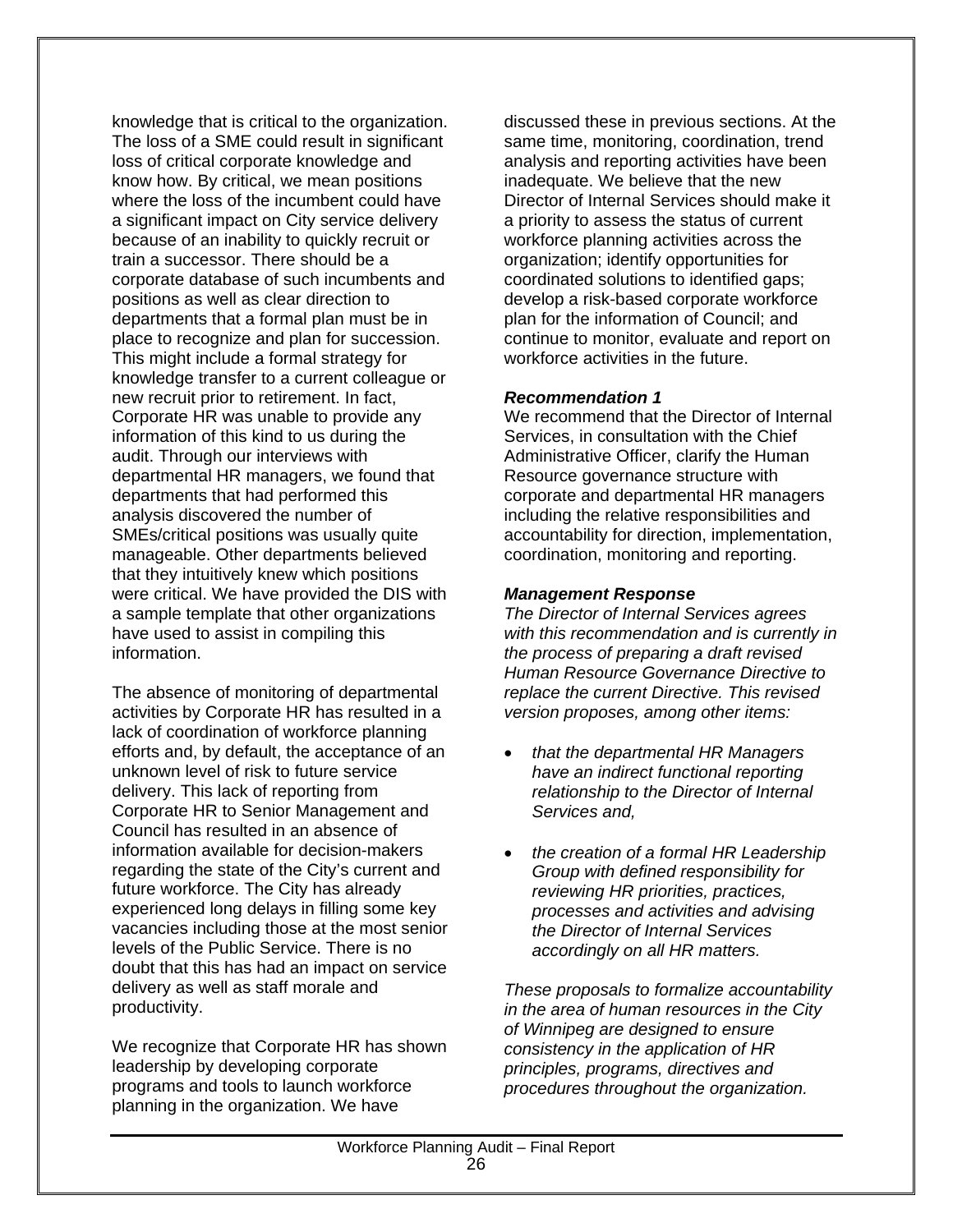knowledge that is critical to the organization. The loss of a SME could result in significant loss of critical corporate knowledge and know how. By critical, we mean positions where the loss of the incumbent could have a significant impact on City service delivery because of an inability to quickly recruit or train a successor. There should be a corporate database of such incumbents and positions as well as clear direction to departments that a formal plan must be in place to recognize and plan for succession. This might include a formal strategy for knowledge transfer to a current colleague or new recruit prior to retirement. In fact, Corporate HR was unable to provide any information of this kind to us during the audit. Through our interviews with departmental HR managers, we found that departments that had performed this analysis discovered the number of SMEs/critical positions was usually quite manageable. Other departments believed that they intuitively knew which positions were critical. We have provided the DIS with a sample template that other organizations have used to assist in compiling this information.

The absence of monitoring of departmental activities by Corporate HR has resulted in a lack of coordination of workforce planning efforts and, by default, the acceptance of an unknown level of risk to future service delivery. This lack of reporting from Corporate HR to Senior Management and Council has resulted in an absence of information available for decision-makers regarding the state of the City's current and future workforce. The City has already experienced long delays in filling some key vacancies including those at the most senior levels of the Public Service. There is no doubt that this has had an impact on service delivery as well as staff morale and productivity.

We recognize that Corporate HR has shown leadership by developing corporate programs and tools to launch workforce planning in the organization. We have

discussed these in previous sections. At the same time, monitoring, coordination, trend analysis and reporting activities have been inadequate. We believe that the new Director of Internal Services should make it a priority to assess the status of current workforce planning activities across the organization; identify opportunities for coordinated solutions to identified gaps; develop a risk-based corporate workforce plan for the information of Council; and continue to monitor, evaluate and report on workforce activities in the future.

## *Recommendation 1*

We recommend that the Director of Internal Services, in consultation with the Chief Administrative Officer, clarify the Human Resource governance structure with corporate and departmental HR managers including the relative responsibilities and accountability for direction, implementation, coordination, monitoring and reporting.

## *Management Response*

*The Director of Internal Services agrees with this recommendation and is currently in the process of preparing a draft revised Human Resource Governance Directive to replace the current Directive. This revised version proposes, among other items:* 

- *that the departmental HR Managers have an indirect functional reporting relationship to the Director of Internal Services and,*
- *the creation of a formal HR Leadership Group with defined responsibility for reviewing HR priorities, practices, processes and activities and advising the Director of Internal Services accordingly on all HR matters.*

*These proposals to formalize accountability in the area of human resources in the City of Winnipeg are designed to ensure consistency in the application of HR principles, programs, directives and procedures throughout the organization.*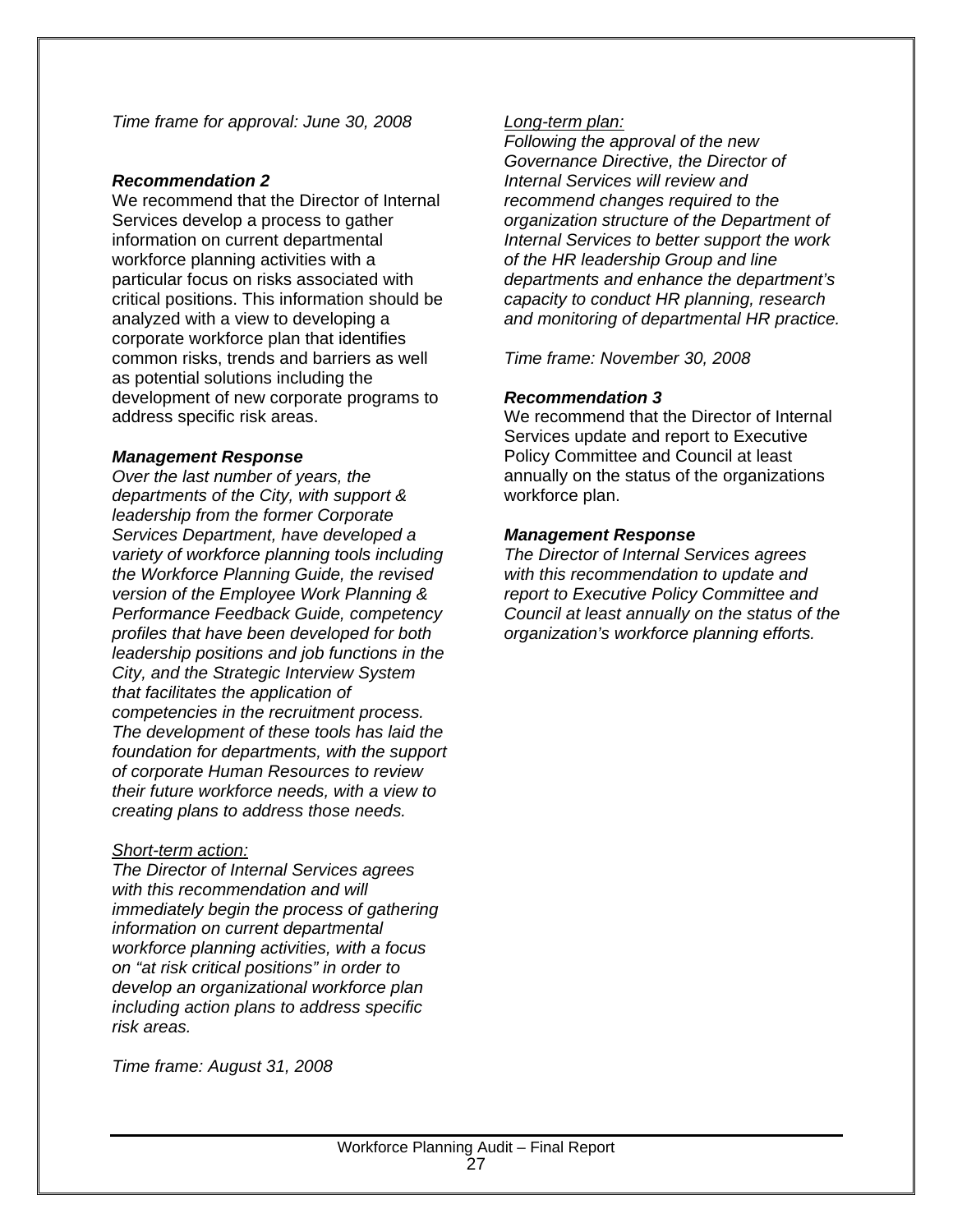*Time frame for approval: June 30, 2008* 

## *Recommendation 2*

We recommend that the Director of Internal Services develop a process to gather information on current departmental workforce planning activities with a particular focus on risks associated with critical positions. This information should be analyzed with a view to developing a corporate workforce plan that identifies common risks, trends and barriers as well as potential solutions including the development of new corporate programs to address specific risk areas.

## *Management Response*

*Over the last number of years, the departments of the City, with support & leadership from the former Corporate Services Department, have developed a variety of workforce planning tools including the Workforce Planning Guide, the revised version of the Employee Work Planning & Performance Feedback Guide, competency profiles that have been developed for both leadership positions and job functions in the City, and the Strategic Interview System that facilitates the application of competencies in the recruitment process. The development of these tools has laid the foundation for departments, with the support of corporate Human Resources to review their future workforce needs, with a view to creating plans to address those needs.* 

## *Short-term action:*

*The Director of Internal Services agrees with this recommendation and will immediately begin the process of gathering information on current departmental workforce planning activities, with a focus on "at risk critical positions" in order to develop an organizational workforce plan including action plans to address specific risk areas.* 

#### *Long-term plan:*

*Following the approval of the new Governance Directive, the Director of Internal Services will review and recommend changes required to the organization structure of the Department of Internal Services to better support the work of the HR leadership Group and line departments and enhance the department's capacity to conduct HR planning, research and monitoring of departmental HR practice.* 

*Time frame: November 30, 2008* 

## *Recommendation 3*

We recommend that the Director of Internal Services update and report to Executive Policy Committee and Council at least annually on the status of the organizations workforce plan.

## *Management Response*

*The Director of Internal Services agrees with this recommendation to update and report to Executive Policy Committee and Council at least annually on the status of the organization's workforce planning efforts.* 

*Time frame: August 31, 2008*